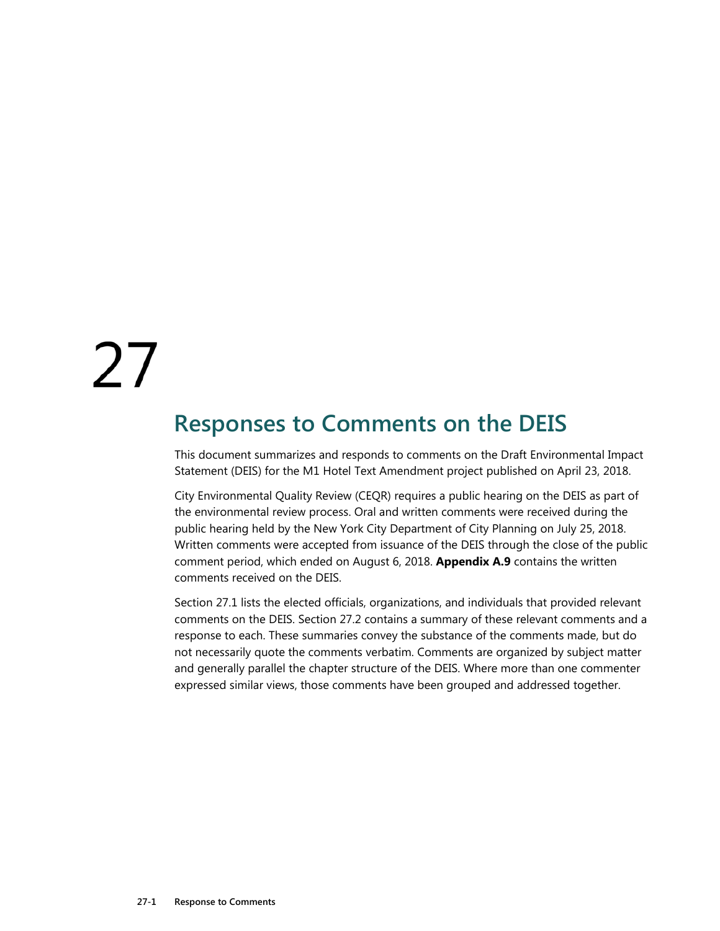# 27

# **Responses to Comments on the DEIS**

This document summarizes and responds to comments on the Draft Environmental Impact Statement (DEIS) for the M1 Hotel Text Amendment project published on April 23, 2018.

City Environmental Quality Review (CEQR) requires a public hearing on the DEIS as part of the environmental review process. Oral and written comments were received during the public hearing held by the New York City Department of City Planning on July 25, 2018. Written comments were accepted from issuance of the DEIS through the close of the public comment period, which ended on August 6, 2018. **Appendix A.9** contains the written comments received on the DEIS.

Section 27.1 lists the elected officials, organizations, and individuals that provided relevant comments on the DEIS. Section 27.2 contains a summary of these relevant comments and a response to each. These summaries convey the substance of the comments made, but do not necessarily quote the comments verbatim. Comments are organized by subject matter and generally parallel the chapter structure of the DEIS. Where more than one commenter expressed similar views, those comments have been grouped and addressed together.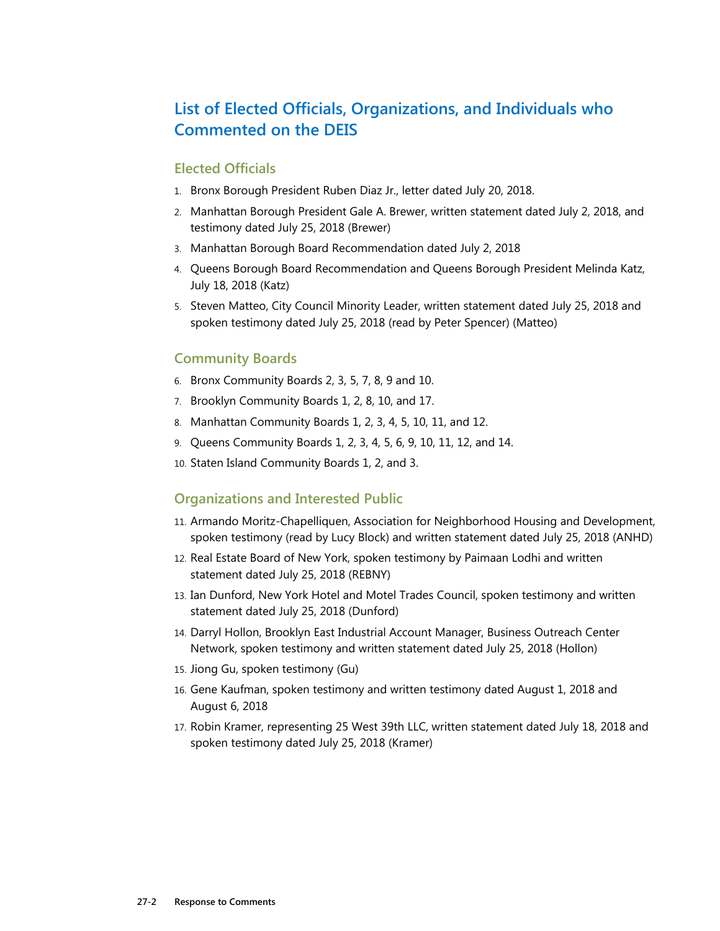# **List of Elected Officials, Organizations, and Individuals who Commented on the DEIS**

#### **Elected Officials**

- 1. Bronx Borough President Ruben Diaz Jr., letter dated July 20, 2018.
- 2. Manhattan Borough President Gale A. Brewer, written statement dated July 2, 2018, and testimony dated July 25, 2018 (Brewer)
- 3. Manhattan Borough Board Recommendation dated July 2, 2018
- 4. Queens Borough Board Recommendation and Queens Borough President Melinda Katz, July 18, 2018 (Katz)
- 5. Steven Matteo, City Council Minority Leader, written statement dated July 25, 2018 and spoken testimony dated July 25, 2018 (read by Peter Spencer) (Matteo)

#### **Community Boards**

- 6. Bronx Community Boards 2, 3, 5, 7, 8, 9 and 10.
- 7. Brooklyn Community Boards 1, 2, 8, 10, and 17.
- 8. Manhattan Community Boards 1, 2, 3, 4, 5, 10, 11, and 12.
- 9. Queens Community Boards 1, 2, 3, 4, 5, 6, 9, 10, 11, 12, and 14.
- 10. Staten Island Community Boards 1, 2, and 3.

#### **Organizations and Interested Public**

- 11. Armando Moritz-Chapelliquen, Association for Neighborhood Housing and Development, spoken testimony (read by Lucy Block) and written statement dated July 25, 2018 (ANHD)
- 12. Real Estate Board of New York, spoken testimony by Paimaan Lodhi and written statement dated July 25, 2018 (REBNY)
- 13. Ian Dunford, New York Hotel and Motel Trades Council, spoken testimony and written statement dated July 25, 2018 (Dunford)
- 14. Darryl Hollon, Brooklyn East Industrial Account Manager, Business Outreach Center Network, spoken testimony and written statement dated July 25, 2018 (Hollon)
- 15. Jiong Gu, spoken testimony (Gu)
- 16. Gene Kaufman, spoken testimony and written testimony dated August 1, 2018 and August 6, 2018
- 17. Robin Kramer, representing 25 West 39th LLC, written statement dated July 18, 2018 and spoken testimony dated July 25, 2018 (Kramer)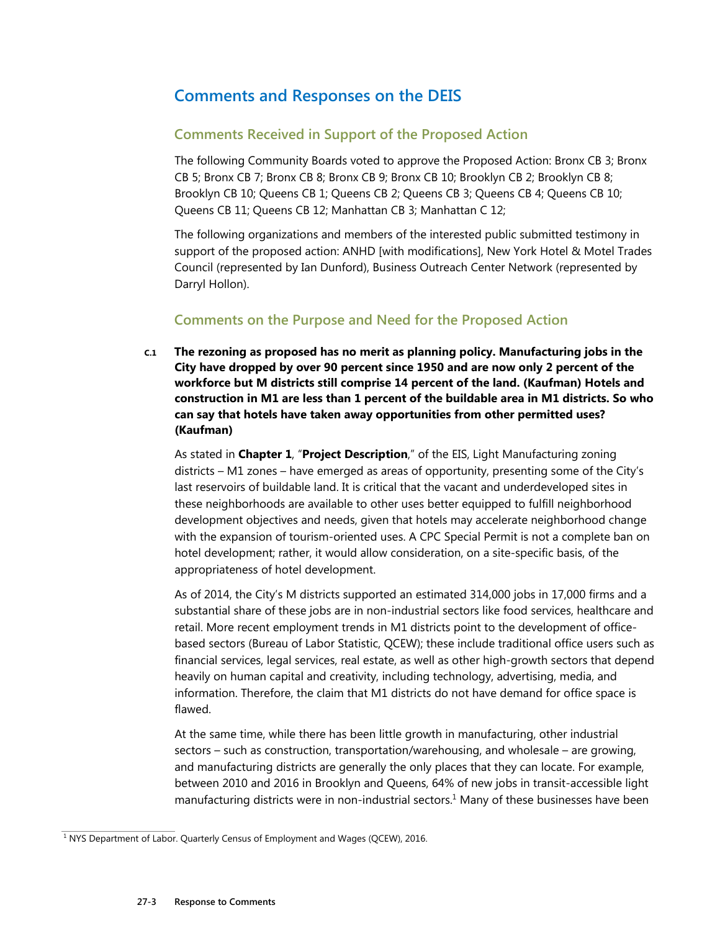## **Comments and Responses on the DEIS**

#### **Comments Received in Support of the Proposed Action**

The following Community Boards voted to approve the Proposed Action: Bronx CB 3; Bronx CB 5; Bronx CB 7; Bronx CB 8; Bronx CB 9; Bronx CB 10; Brooklyn CB 2; Brooklyn CB 8; Brooklyn CB 10; Queens CB 1; Queens CB 2; Queens CB 3; Queens CB 4; Queens CB 10; Queens CB 11; Queens CB 12; Manhattan CB 3; Manhattan C 12;

The following organizations and members of the interested public submitted testimony in support of the proposed action: ANHD [with modifications], New York Hotel & Motel Trades Council (represented by Ian Dunford), Business Outreach Center Network (represented by Darryl Hollon).

### **Comments on the Purpose and Need for the Proposed Action**

**C.1 The rezoning as proposed has no merit as planning policy. Manufacturing jobs in the City have dropped by over 90 percent since 1950 and are now only 2 percent of the workforce but M districts still comprise 14 percent of the land. (Kaufman) Hotels and construction in M1 are less than 1 percent of the buildable area in M1 districts. So who can say that hotels have taken away opportunities from other permitted uses? (Kaufman)** 

As stated in **Chapter 1**, "**Project Description**," of the EIS, Light Manufacturing zoning districts – M1 zones – have emerged as areas of opportunity, presenting some of the City's last reservoirs of buildable land. It is critical that the vacant and underdeveloped sites in these neighborhoods are available to other uses better equipped to fulfill neighborhood development objectives and needs, given that hotels may accelerate neighborhood change with the expansion of tourism-oriented uses. A CPC Special Permit is not a complete ban on hotel development; rather, it would allow consideration, on a site-specific basis, of the appropriateness of hotel development.

As of 2014, the City's M districts supported an estimated 314,000 jobs in 17,000 firms and a substantial share of these jobs are in non-industrial sectors like food services, healthcare and retail. More recent employment trends in M1 districts point to the development of officebased sectors (Bureau of Labor Statistic, QCEW); these include traditional office users such as financial services, legal services, real estate, as well as other high-growth sectors that depend heavily on human capital and creativity, including technology, advertising, media, and information. Therefore, the claim that M1 districts do not have demand for office space is flawed.

At the same time, while there has been little growth in manufacturing, other industrial sectors – such as construction, transportation/warehousing, and wholesale – are growing, and manufacturing districts are generally the only places that they can locate. For example, between 2010 and 2016 in Brooklyn and Queens, 64% of new jobs in transit-accessible light manufacturing districts were in non-industrial sectors.<sup>1</sup> Many of these businesses have been

<sup>&</sup>lt;sup>1</sup> NYS Department of Labor. Quarterly Census of Employment and Wages (QCEW), 2016.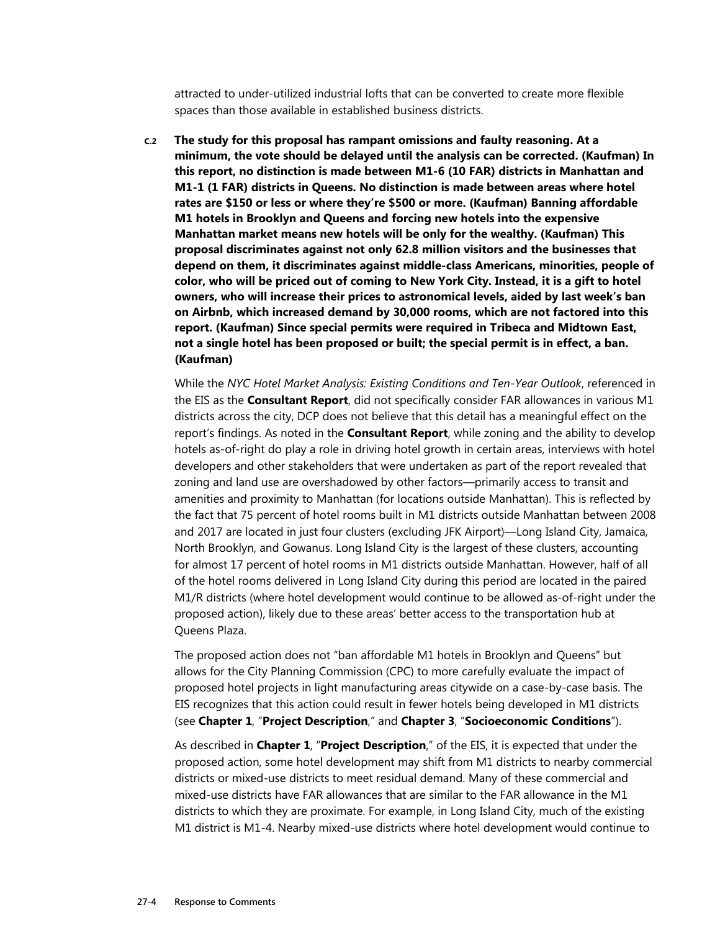attracted to under-utilized industrial lofts that can be converted to create more flexible spaces than those available in established business districts.

**C.2 The study for this proposal has rampant omissions and faulty reasoning. At a minimum, the vote should be delayed until the analysis can be corrected. (Kaufman) In this report, no distinction is made between M1-6 (10 FAR) districts in Manhattan and M1-1 (1 FAR) districts in Queens. No distinction is made between areas where hotel rates are \$150 or less or where they're \$500 or more. (Kaufman) Banning affordable M1 hotels in Brooklyn and Queens and forcing new hotels into the expensive Manhattan market means new hotels will be only for the wealthy. (Kaufman) This proposal discriminates against not only 62.8 million visitors and the businesses that depend on them, it discriminates against middle-class Americans, minorities, people of color, who will be priced out of coming to New York City. Instead, it is a gift to hotel owners, who will increase their prices to astronomical levels, aided by last week's ban on Airbnb, which increased demand by 30,000 rooms, which are not factored into this report. (Kaufman) Since special permits were required in Tribeca and Midtown East, not a single hotel has been proposed or built; the special permit is in effect, a ban. (Kaufman)** 

While the *NYC Hotel Market Analysis: Existing Conditions and Ten-Year Outlook*, referenced in the EIS as the **Consultant Report**, did not specifically consider FAR allowances in various M1 districts across the city, DCP does not believe that this detail has a meaningful effect on the report's findings. As noted in the **Consultant Report**, while zoning and the ability to develop hotels as-of-right do play a role in driving hotel growth in certain areas, interviews with hotel developers and other stakeholders that were undertaken as part of the report revealed that zoning and land use are overshadowed by other factors—primarily access to transit and amenities and proximity to Manhattan (for locations outside Manhattan). This is reflected by the fact that 75 percent of hotel rooms built in M1 districts outside Manhattan between 2008 and 2017 are located in just four clusters (excluding JFK Airport)—Long Island City, Jamaica, North Brooklyn, and Gowanus. Long Island City is the largest of these clusters, accounting for almost 17 percent of hotel rooms in M1 districts outside Manhattan. However, half of all of the hotel rooms delivered in Long Island City during this period are located in the paired M1/R districts (where hotel development would continue to be allowed as-of-right under the proposed action), likely due to these areas' better access to the transportation hub at Queens Plaza.

The proposed action does not "ban affordable M1 hotels in Brooklyn and Queens" but allows for the City Planning Commission (CPC) to more carefully evaluate the impact of proposed hotel projects in light manufacturing areas citywide on a case-by-case basis. The EIS recognizes that this action could result in fewer hotels being developed in M1 districts (see **Chapter 1**, "**Project Description**," and **Chapter 3**, "**Socioeconomic Conditions**").

As described in **Chapter 1**, "**Project Description**," of the EIS, it is expected that under the proposed action, some hotel development may shift from M1 districts to nearby commercial districts or mixed-use districts to meet residual demand. Many of these commercial and mixed-use districts have FAR allowances that are similar to the FAR allowance in the M1 districts to which they are proximate. For example, in Long Island City, much of the existing M1 district is M1-4. Nearby mixed-use districts where hotel development would continue to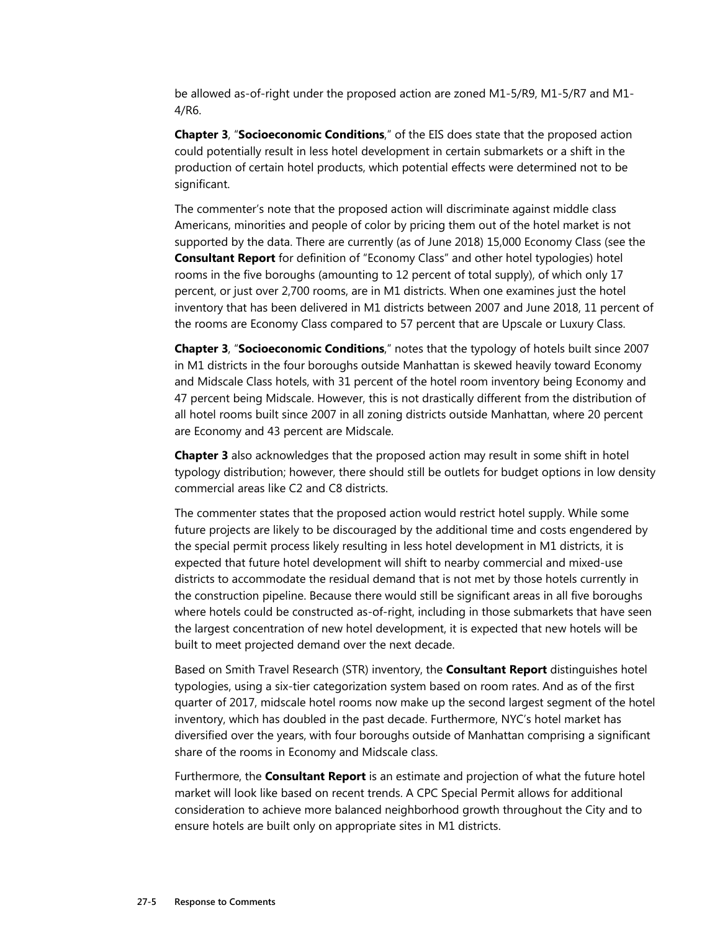be allowed as-of-right under the proposed action are zoned M1-5/R9, M1-5/R7 and M1- 4/R6.

**Chapter 3**, "**Socioeconomic Conditions**," of the EIS does state that the proposed action could potentially result in less hotel development in certain submarkets or a shift in the production of certain hotel products, which potential effects were determined not to be significant.

The commenter's note that the proposed action will discriminate against middle class Americans, minorities and people of color by pricing them out of the hotel market is not supported by the data. There are currently (as of June 2018) 15,000 Economy Class (see the **Consultant Report** for definition of "Economy Class" and other hotel typologies) hotel rooms in the five boroughs (amounting to 12 percent of total supply), of which only 17 percent, or just over 2,700 rooms, are in M1 districts. When one examines just the hotel inventory that has been delivered in M1 districts between 2007 and June 2018, 11 percent of the rooms are Economy Class compared to 57 percent that are Upscale or Luxury Class.

**Chapter 3**, "**Socioeconomic Conditions**," notes that the typology of hotels built since 2007 in M1 districts in the four boroughs outside Manhattan is skewed heavily toward Economy and Midscale Class hotels, with 31 percent of the hotel room inventory being Economy and 47 percent being Midscale. However, this is not drastically different from the distribution of all hotel rooms built since 2007 in all zoning districts outside Manhattan, where 20 percent are Economy and 43 percent are Midscale.

**Chapter 3** also acknowledges that the proposed action may result in some shift in hotel typology distribution; however, there should still be outlets for budget options in low density commercial areas like C2 and C8 districts.

The commenter states that the proposed action would restrict hotel supply. While some future projects are likely to be discouraged by the additional time and costs engendered by the special permit process likely resulting in less hotel development in M1 districts, it is expected that future hotel development will shift to nearby commercial and mixed-use districts to accommodate the residual demand that is not met by those hotels currently in the construction pipeline. Because there would still be significant areas in all five boroughs where hotels could be constructed as-of-right, including in those submarkets that have seen the largest concentration of new hotel development, it is expected that new hotels will be built to meet projected demand over the next decade.

Based on Smith Travel Research (STR) inventory, the **Consultant Report** distinguishes hotel typologies, using a six-tier categorization system based on room rates. And as of the first quarter of 2017, midscale hotel rooms now make up the second largest segment of the hotel inventory, which has doubled in the past decade. Furthermore, NYC's hotel market has diversified over the years, with four boroughs outside of Manhattan comprising a significant share of the rooms in Economy and Midscale class.

Furthermore, the **Consultant Report** is an estimate and projection of what the future hotel market will look like based on recent trends. A CPC Special Permit allows for additional consideration to achieve more balanced neighborhood growth throughout the City and to ensure hotels are built only on appropriate sites in M1 districts.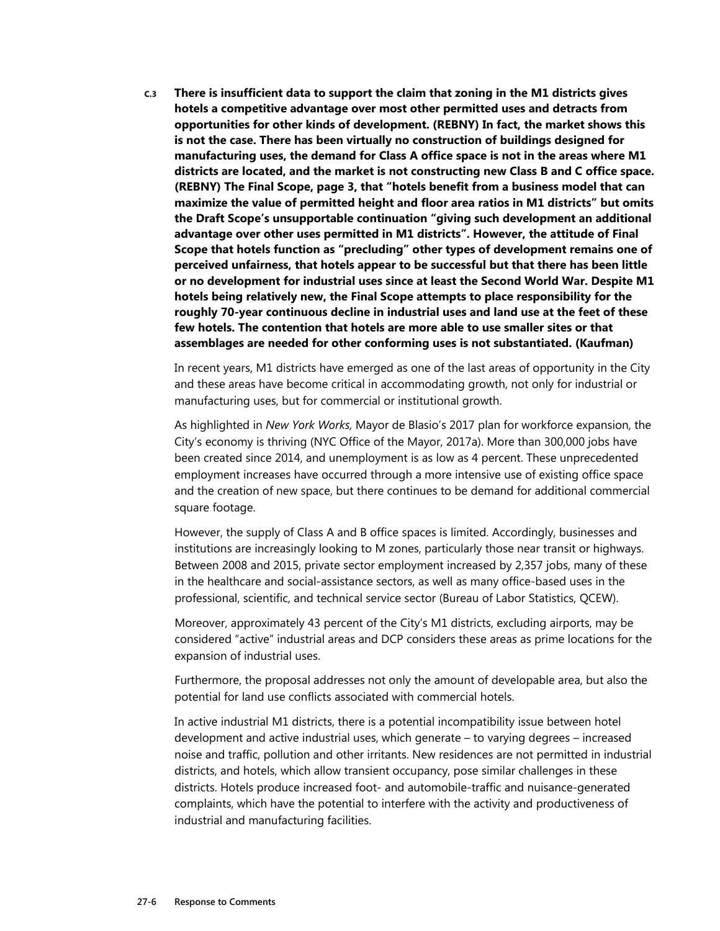**C.3 There is insufficient data to support the claim that zoning in the M1 districts gives hotels a competitive advantage over most other permitted uses and detracts from opportunities for other kinds of development. (REBNY) In fact, the market shows this is not the case. There has been virtually no construction of buildings designed for manufacturing uses, the demand for Class A office space is not in the areas where M1 districts are located, and the market is not constructing new Class B and C office space. (REBNY) The Final Scope, page 3, that "hotels benefit from a business model that can maximize the value of permitted height and floor area ratios in M1 districts" but omits the Draft Scope's unsupportable continuation "giving such development an additional advantage over other uses permitted in M1 districts". However, the attitude of Final Scope that hotels function as "precluding" other types of development remains one of perceived unfairness, that hotels appear to be successful but that there has been little or no development for industrial uses since at least the Second World War. Despite M1 hotels being relatively new, the Final Scope attempts to place responsibility for the roughly 70-year continuous decline in industrial uses and land use at the feet of these few hotels. The contention that hotels are more able to use smaller sites or that assemblages are needed for other conforming uses is not substantiated. (Kaufman)** 

In recent years, M1 districts have emerged as one of the last areas of opportunity in the City and these areas have become critical in accommodating growth, not only for industrial or manufacturing uses, but for commercial or institutional growth.

As highlighted in *New York Works,* Mayor de Blasio's 2017 plan for workforce expansion, the City's economy is thriving (NYC Office of the Mayor, 2017a). More than 300,000 jobs have been created since 2014, and unemployment is as low as 4 percent. These unprecedented employment increases have occurred through a more intensive use of existing office space and the creation of new space, but there continues to be demand for additional commercial square footage.

However, the supply of Class A and B office spaces is limited. Accordingly, businesses and institutions are increasingly looking to M zones, particularly those near transit or highways. Between 2008 and 2015, private sector employment increased by 2,357 jobs, many of these in the healthcare and social-assistance sectors, as well as many office-based uses in the professional, scientific, and technical service sector (Bureau of Labor Statistics, QCEW).

Moreover, approximately 43 percent of the City's M1 districts, excluding airports, may be considered "active" industrial areas and DCP considers these areas as prime locations for the expansion of industrial uses.

Furthermore, the proposal addresses not only the amount of developable area, but also the potential for land use conflicts associated with commercial hotels.

In active industrial M1 districts, there is a potential incompatibility issue between hotel development and active industrial uses, which generate – to varying degrees – increased noise and traffic, pollution and other irritants. New residences are not permitted in industrial districts, and hotels, which allow transient occupancy, pose similar challenges in these districts. Hotels produce increased foot- and automobile-traffic and nuisance-generated complaints, which have the potential to interfere with the activity and productiveness of industrial and manufacturing facilities.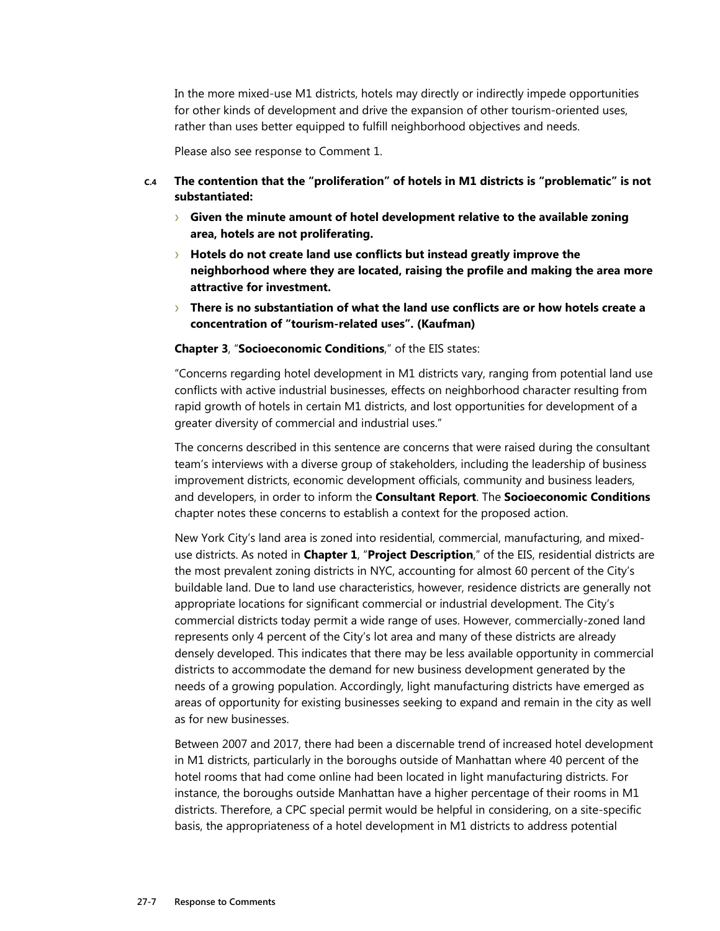In the more mixed-use M1 districts, hotels may directly or indirectly impede opportunities for other kinds of development and drive the expansion of other tourism-oriented uses, rather than uses better equipped to fulfill neighborhood objectives and needs.

Please also see response to Comment 1.

- **C.4 The contention that the "proliferation" of hotels in M1 districts is "problematic" is not substantiated:** 
	- › **Given the minute amount of hotel development relative to the available zoning area, hotels are not proliferating.**
	- › **Hotels do not create land use conflicts but instead greatly improve the neighborhood where they are located, raising the profile and making the area more attractive for investment.**
	- › **There is no substantiation of what the land use conflicts are or how hotels create a concentration of "tourism-related uses". (Kaufman)**

#### **Chapter 3**, "**Socioeconomic Conditions**," of the EIS states:

"Concerns regarding hotel development in M1 districts vary, ranging from potential land use conflicts with active industrial businesses, effects on neighborhood character resulting from rapid growth of hotels in certain M1 districts, and lost opportunities for development of a greater diversity of commercial and industrial uses."

The concerns described in this sentence are concerns that were raised during the consultant team's interviews with a diverse group of stakeholders, including the leadership of business improvement districts, economic development officials, community and business leaders, and developers, in order to inform the **Consultant Report**. The **Socioeconomic Conditions** chapter notes these concerns to establish a context for the proposed action.

New York City's land area is zoned into residential, commercial, manufacturing, and mixeduse districts. As noted in **Chapter 1**, "**Project Description**," of the EIS, residential districts are the most prevalent zoning districts in NYC, accounting for almost 60 percent of the City's buildable land. Due to land use characteristics, however, residence districts are generally not appropriate locations for significant commercial or industrial development. The City's commercial districts today permit a wide range of uses. However, commercially-zoned land represents only 4 percent of the City's lot area and many of these districts are already densely developed. This indicates that there may be less available opportunity in commercial districts to accommodate the demand for new business development generated by the needs of a growing population. Accordingly, light manufacturing districts have emerged as areas of opportunity for existing businesses seeking to expand and remain in the city as well as for new businesses.

Between 2007 and 2017, there had been a discernable trend of increased hotel development in M1 districts, particularly in the boroughs outside of Manhattan where 40 percent of the hotel rooms that had come online had been located in light manufacturing districts. For instance, the boroughs outside Manhattan have a higher percentage of their rooms in M1 districts. Therefore, a CPC special permit would be helpful in considering, on a site-specific basis, the appropriateness of a hotel development in M1 districts to address potential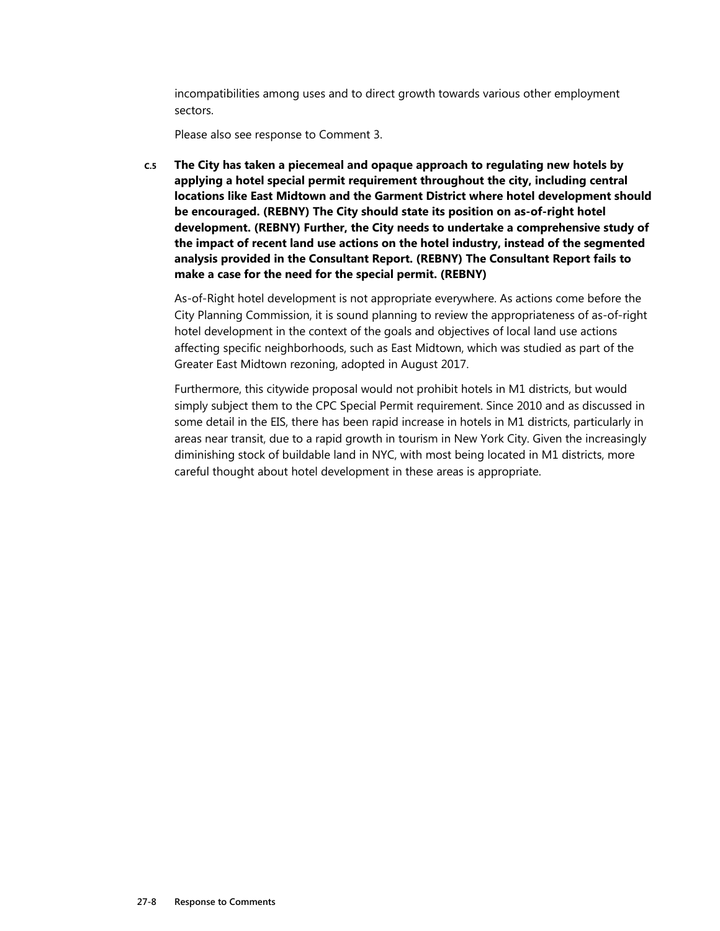incompatibilities among uses and to direct growth towards various other employment sectors.

Please also see response to Comment 3.

**C.5 The City has taken a piecemeal and opaque approach to regulating new hotels by applying a hotel special permit requirement throughout the city, including central locations like East Midtown and the Garment District where hotel development should be encouraged. (REBNY) The City should state its position on as-of-right hotel development. (REBNY) Further, the City needs to undertake a comprehensive study of the impact of recent land use actions on the hotel industry, instead of the segmented analysis provided in the Consultant Report. (REBNY) The Consultant Report fails to make a case for the need for the special permit. (REBNY)** 

As-of-Right hotel development is not appropriate everywhere. As actions come before the City Planning Commission, it is sound planning to review the appropriateness of as-of-right hotel development in the context of the goals and objectives of local land use actions affecting specific neighborhoods, such as East Midtown, which was studied as part of the Greater East Midtown rezoning, adopted in August 2017.

Furthermore, this citywide proposal would not prohibit hotels in M1 districts, but would simply subject them to the CPC Special Permit requirement. Since 2010 and as discussed in some detail in the EIS, there has been rapid increase in hotels in M1 districts, particularly in areas near transit, due to a rapid growth in tourism in New York City. Given the increasingly diminishing stock of buildable land in NYC, with most being located in M1 districts, more careful thought about hotel development in these areas is appropriate.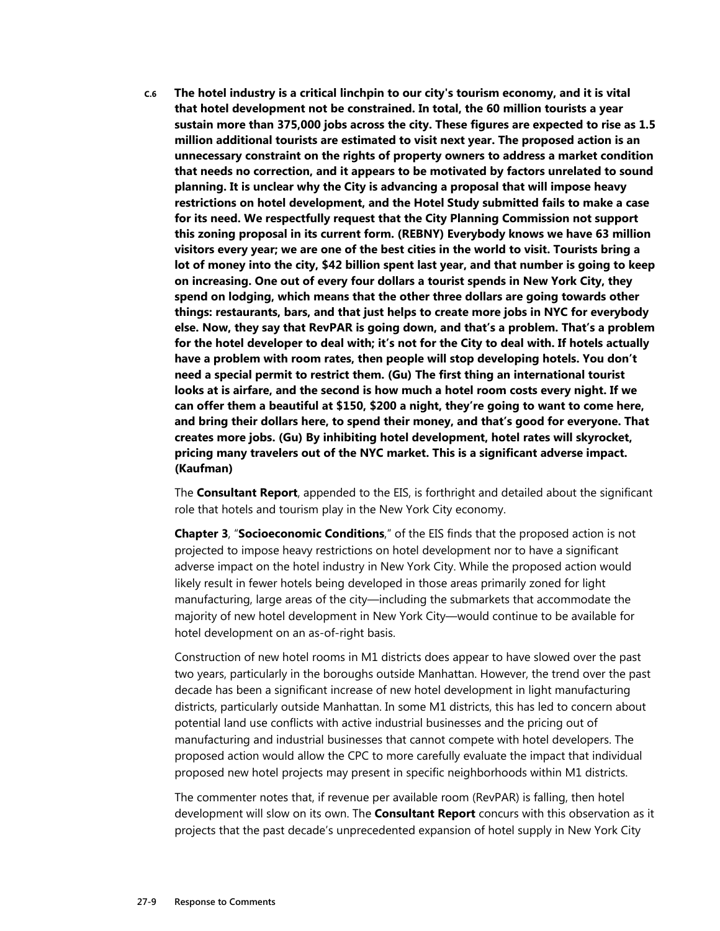**C.6 The hotel industry is a critical linchpin to our city's tourism economy, and it is vital that hotel development not be constrained. In total, the 60 million tourists a year sustain more than 375,000 jobs across the city. These figures are expected to rise as 1.5 million additional tourists are estimated to visit next year. The proposed action is an unnecessary constraint on the rights of property owners to address a market condition that needs no correction, and it appears to be motivated by factors unrelated to sound planning. It is unclear why the City is advancing a proposal that will impose heavy restrictions on hotel development, and the Hotel Study submitted fails to make a case for its need. We respectfully request that the City Planning Commission not support this zoning proposal in its current form. (REBNY) Everybody knows we have 63 million visitors every year; we are one of the best cities in the world to visit. Tourists bring a lot of money into the city, \$42 billion spent last year, and that number is going to keep on increasing. One out of every four dollars a tourist spends in New York City, they spend on lodging, which means that the other three dollars are going towards other things: restaurants, bars, and that just helps to create more jobs in NYC for everybody else. Now, they say that RevPAR is going down, and that's a problem. That's a problem for the hotel developer to deal with; it's not for the City to deal with. If hotels actually have a problem with room rates, then people will stop developing hotels. You don't need a special permit to restrict them. (Gu) The first thing an international tourist looks at is airfare, and the second is how much a hotel room costs every night. If we can offer them a beautiful at \$150, \$200 a night, they're going to want to come here, and bring their dollars here, to spend their money, and that's good for everyone. That creates more jobs. (Gu) By inhibiting hotel development, hotel rates will skyrocket, pricing many travelers out of the NYC market. This is a significant adverse impact. (Kaufman)** 

The **Consultant Report**, appended to the EIS, is forthright and detailed about the significant role that hotels and tourism play in the New York City economy.

**Chapter 3**, "**Socioeconomic Conditions**," of the EIS finds that the proposed action is not projected to impose heavy restrictions on hotel development nor to have a significant adverse impact on the hotel industry in New York City. While the proposed action would likely result in fewer hotels being developed in those areas primarily zoned for light manufacturing, large areas of the city—including the submarkets that accommodate the majority of new hotel development in New York City—would continue to be available for hotel development on an as-of-right basis.

Construction of new hotel rooms in M1 districts does appear to have slowed over the past two years, particularly in the boroughs outside Manhattan. However, the trend over the past decade has been a significant increase of new hotel development in light manufacturing districts, particularly outside Manhattan. In some M1 districts, this has led to concern about potential land use conflicts with active industrial businesses and the pricing out of manufacturing and industrial businesses that cannot compete with hotel developers. The proposed action would allow the CPC to more carefully evaluate the impact that individual proposed new hotel projects may present in specific neighborhoods within M1 districts.

The commenter notes that, if revenue per available room (RevPAR) is falling, then hotel development will slow on its own. The **Consultant Report** concurs with this observation as it projects that the past decade's unprecedented expansion of hotel supply in New York City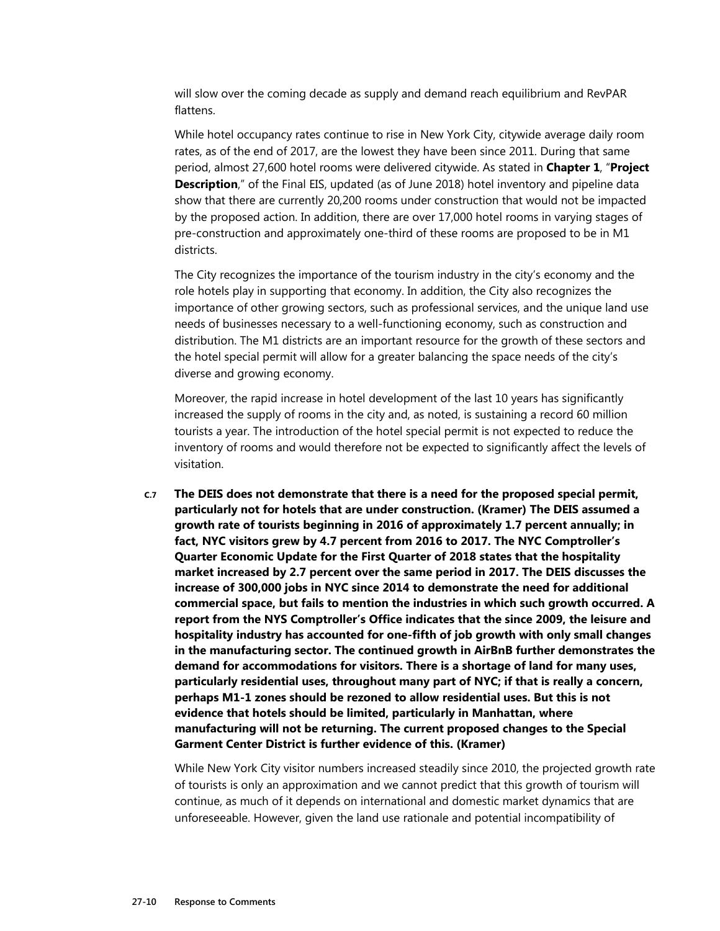will slow over the coming decade as supply and demand reach equilibrium and RevPAR flattens.

While hotel occupancy rates continue to rise in New York City, citywide average daily room rates, as of the end of 2017, are the lowest they have been since 2011. During that same period, almost 27,600 hotel rooms were delivered citywide. As stated in **Chapter 1**, "**Project Description**," of the Final EIS, updated (as of June 2018) hotel inventory and pipeline data show that there are currently 20,200 rooms under construction that would not be impacted by the proposed action. In addition, there are over 17,000 hotel rooms in varying stages of pre-construction and approximately one-third of these rooms are proposed to be in M1 districts.

The City recognizes the importance of the tourism industry in the city's economy and the role hotels play in supporting that economy. In addition, the City also recognizes the importance of other growing sectors, such as professional services, and the unique land use needs of businesses necessary to a well-functioning economy, such as construction and distribution. The M1 districts are an important resource for the growth of these sectors and the hotel special permit will allow for a greater balancing the space needs of the city's diverse and growing economy.

Moreover, the rapid increase in hotel development of the last 10 years has significantly increased the supply of rooms in the city and, as noted, is sustaining a record 60 million tourists a year. The introduction of the hotel special permit is not expected to reduce the inventory of rooms and would therefore not be expected to significantly affect the levels of visitation.

**C.7 The DEIS does not demonstrate that there is a need for the proposed special permit, particularly not for hotels that are under construction. (Kramer) The DEIS assumed a growth rate of tourists beginning in 2016 of approximately 1.7 percent annually; in fact, NYC visitors grew by 4.7 percent from 2016 to 2017. The NYC Comptroller's Quarter Economic Update for the First Quarter of 2018 states that the hospitality market increased by 2.7 percent over the same period in 2017. The DEIS discusses the increase of 300,000 jobs in NYC since 2014 to demonstrate the need for additional commercial space, but fails to mention the industries in which such growth occurred. A report from the NYS Comptroller's Office indicates that the since 2009, the leisure and hospitality industry has accounted for one-fifth of job growth with only small changes in the manufacturing sector. The continued growth in AirBnB further demonstrates the demand for accommodations for visitors. There is a shortage of land for many uses, particularly residential uses, throughout many part of NYC; if that is really a concern, perhaps M1-1 zones should be rezoned to allow residential uses. But this is not evidence that hotels should be limited, particularly in Manhattan, where manufacturing will not be returning. The current proposed changes to the Special Garment Center District is further evidence of this. (Kramer)** 

While New York City visitor numbers increased steadily since 2010, the projected growth rate of tourists is only an approximation and we cannot predict that this growth of tourism will continue, as much of it depends on international and domestic market dynamics that are unforeseeable. However, given the land use rationale and potential incompatibility of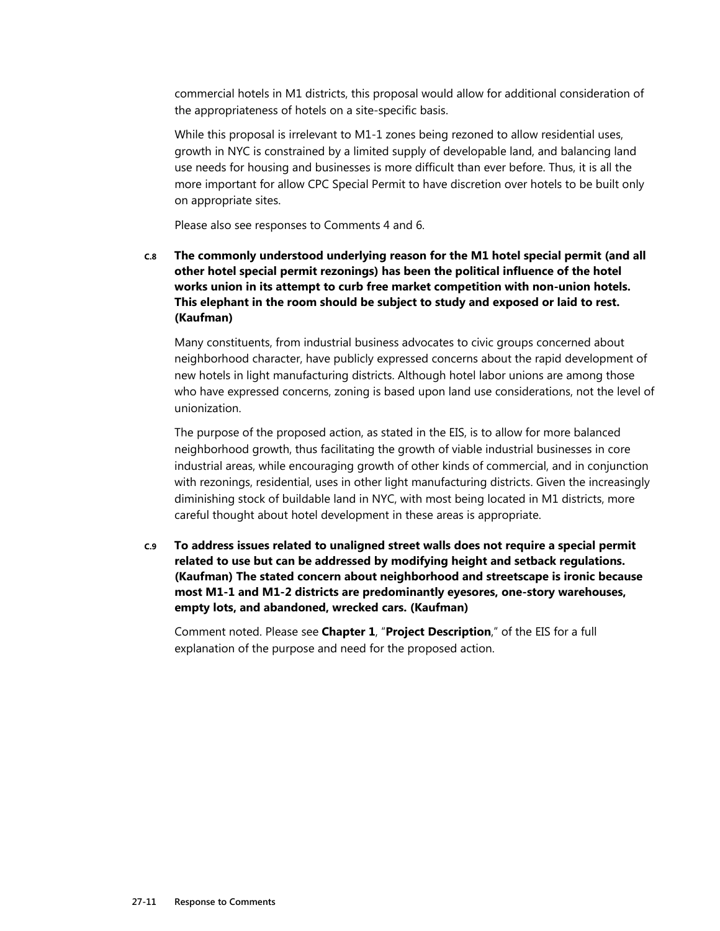commercial hotels in M1 districts, this proposal would allow for additional consideration of the appropriateness of hotels on a site-specific basis.

While this proposal is irrelevant to M1-1 zones being rezoned to allow residential uses, growth in NYC is constrained by a limited supply of developable land, and balancing land use needs for housing and businesses is more difficult than ever before. Thus, it is all the more important for allow CPC Special Permit to have discretion over hotels to be built only on appropriate sites.

Please also see responses to Comments 4 and 6.

**C.8 The commonly understood underlying reason for the M1 hotel special permit (and all other hotel special permit rezonings) has been the political influence of the hotel works union in its attempt to curb free market competition with non-union hotels. This elephant in the room should be subject to study and exposed or laid to rest. (Kaufman)** 

Many constituents, from industrial business advocates to civic groups concerned about neighborhood character, have publicly expressed concerns about the rapid development of new hotels in light manufacturing districts. Although hotel labor unions are among those who have expressed concerns, zoning is based upon land use considerations, not the level of unionization.

The purpose of the proposed action, as stated in the EIS, is to allow for more balanced neighborhood growth, thus facilitating the growth of viable industrial businesses in core industrial areas, while encouraging growth of other kinds of commercial, and in conjunction with rezonings, residential, uses in other light manufacturing districts. Given the increasingly diminishing stock of buildable land in NYC, with most being located in M1 districts, more careful thought about hotel development in these areas is appropriate.

**C.9 To address issues related to unaligned street walls does not require a special permit related to use but can be addressed by modifying height and setback regulations. (Kaufman) The stated concern about neighborhood and streetscape is ironic because most M1-1 and M1-2 districts are predominantly eyesores, one-story warehouses, empty lots, and abandoned, wrecked cars. (Kaufman)** 

Comment noted. Please see **Chapter 1**, "**Project Description**," of the EIS for a full explanation of the purpose and need for the proposed action.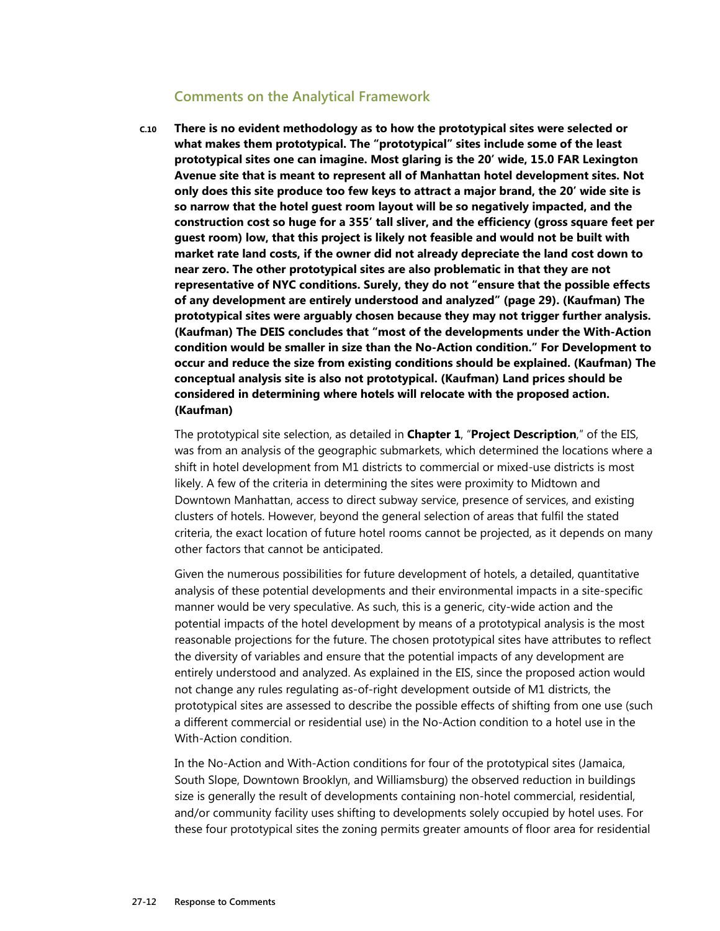#### **Comments on the Analytical Framework**

**C.10 There is no evident methodology as to how the prototypical sites were selected or what makes them prototypical. The "prototypical" sites include some of the least prototypical sites one can imagine. Most glaring is the 20' wide, 15.0 FAR Lexington Avenue site that is meant to represent all of Manhattan hotel development sites. Not only does this site produce too few keys to attract a major brand, the 20' wide site is so narrow that the hotel guest room layout will be so negatively impacted, and the construction cost so huge for a 355' tall sliver, and the efficiency (gross square feet per guest room) low, that this project is likely not feasible and would not be built with market rate land costs, if the owner did not already depreciate the land cost down to near zero. The other prototypical sites are also problematic in that they are not representative of NYC conditions. Surely, they do not "ensure that the possible effects of any development are entirely understood and analyzed" (page 29). (Kaufman) The prototypical sites were arguably chosen because they may not trigger further analysis. (Kaufman) The DEIS concludes that "most of the developments under the With-Action condition would be smaller in size than the No-Action condition." For Development to occur and reduce the size from existing conditions should be explained. (Kaufman) The conceptual analysis site is also not prototypical. (Kaufman) Land prices should be considered in determining where hotels will relocate with the proposed action. (Kaufman)** 

The prototypical site selection, as detailed in **Chapter 1**, "**Project Description**," of the EIS, was from an analysis of the geographic submarkets, which determined the locations where a shift in hotel development from M1 districts to commercial or mixed-use districts is most likely. A few of the criteria in determining the sites were proximity to Midtown and Downtown Manhattan, access to direct subway service, presence of services, and existing clusters of hotels. However, beyond the general selection of areas that fulfil the stated criteria, the exact location of future hotel rooms cannot be projected, as it depends on many other factors that cannot be anticipated.

Given the numerous possibilities for future development of hotels, a detailed, quantitative analysis of these potential developments and their environmental impacts in a site-specific manner would be very speculative. As such, this is a generic, city-wide action and the potential impacts of the hotel development by means of a prototypical analysis is the most reasonable projections for the future. The chosen prototypical sites have attributes to reflect the diversity of variables and ensure that the potential impacts of any development are entirely understood and analyzed. As explained in the EIS, since the proposed action would not change any rules regulating as-of-right development outside of M1 districts, the prototypical sites are assessed to describe the possible effects of shifting from one use (such a different commercial or residential use) in the No-Action condition to a hotel use in the With-Action condition.

In the No-Action and With-Action conditions for four of the prototypical sites (Jamaica, South Slope, Downtown Brooklyn, and Williamsburg) the observed reduction in buildings size is generally the result of developments containing non-hotel commercial, residential, and/or community facility uses shifting to developments solely occupied by hotel uses. For these four prototypical sites the zoning permits greater amounts of floor area for residential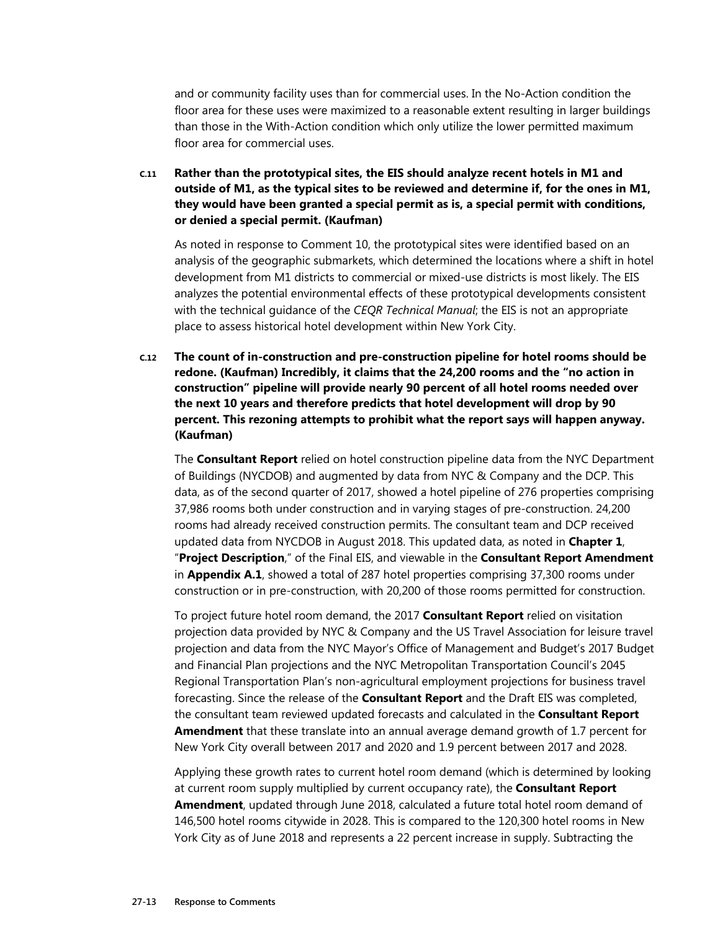and or community facility uses than for commercial uses. In the No-Action condition the floor area for these uses were maximized to a reasonable extent resulting in larger buildings than those in the With-Action condition which only utilize the lower permitted maximum floor area for commercial uses.

**C.11 Rather than the prototypical sites, the EIS should analyze recent hotels in M1 and outside of M1, as the typical sites to be reviewed and determine if, for the ones in M1, they would have been granted a special permit as is, a special permit with conditions, or denied a special permit. (Kaufman)** 

As noted in response to Comment 10, the prototypical sites were identified based on an analysis of the geographic submarkets, which determined the locations where a shift in hotel development from M1 districts to commercial or mixed-use districts is most likely. The EIS analyzes the potential environmental effects of these prototypical developments consistent with the technical guidance of the *CEQR Technical Manual*; the EIS is not an appropriate place to assess historical hotel development within New York City.

**C.12 The count of in-construction and pre-construction pipeline for hotel rooms should be redone. (Kaufman) Incredibly, it claims that the 24,200 rooms and the "no action in construction" pipeline will provide nearly 90 percent of all hotel rooms needed over the next 10 years and therefore predicts that hotel development will drop by 90 percent. This rezoning attempts to prohibit what the report says will happen anyway. (Kaufman)** 

The **Consultant Report** relied on hotel construction pipeline data from the NYC Department of Buildings (NYCDOB) and augmented by data from NYC & Company and the DCP. This data, as of the second quarter of 2017, showed a hotel pipeline of 276 properties comprising 37,986 rooms both under construction and in varying stages of pre-construction. 24,200 rooms had already received construction permits. The consultant team and DCP received updated data from NYCDOB in August 2018. This updated data, as noted in **Chapter 1**, "**Project Description**," of the Final EIS, and viewable in the **Consultant Report Amendment** in **Appendix A.1**, showed a total of 287 hotel properties comprising 37,300 rooms under construction or in pre-construction, with 20,200 of those rooms permitted for construction.

To project future hotel room demand, the 2017 **Consultant Report** relied on visitation projection data provided by NYC & Company and the US Travel Association for leisure travel projection and data from the NYC Mayor's Office of Management and Budget's 2017 Budget and Financial Plan projections and the NYC Metropolitan Transportation Council's 2045 Regional Transportation Plan's non-agricultural employment projections for business travel forecasting. Since the release of the **Consultant Report** and the Draft EIS was completed, the consultant team reviewed updated forecasts and calculated in the **Consultant Report Amendment** that these translate into an annual average demand growth of 1.7 percent for New York City overall between 2017 and 2020 and 1.9 percent between 2017 and 2028.

Applying these growth rates to current hotel room demand (which is determined by looking at current room supply multiplied by current occupancy rate), the **Consultant Report Amendment**, updated through June 2018, calculated a future total hotel room demand of 146,500 hotel rooms citywide in 2028. This is compared to the 120,300 hotel rooms in New York City as of June 2018 and represents a 22 percent increase in supply. Subtracting the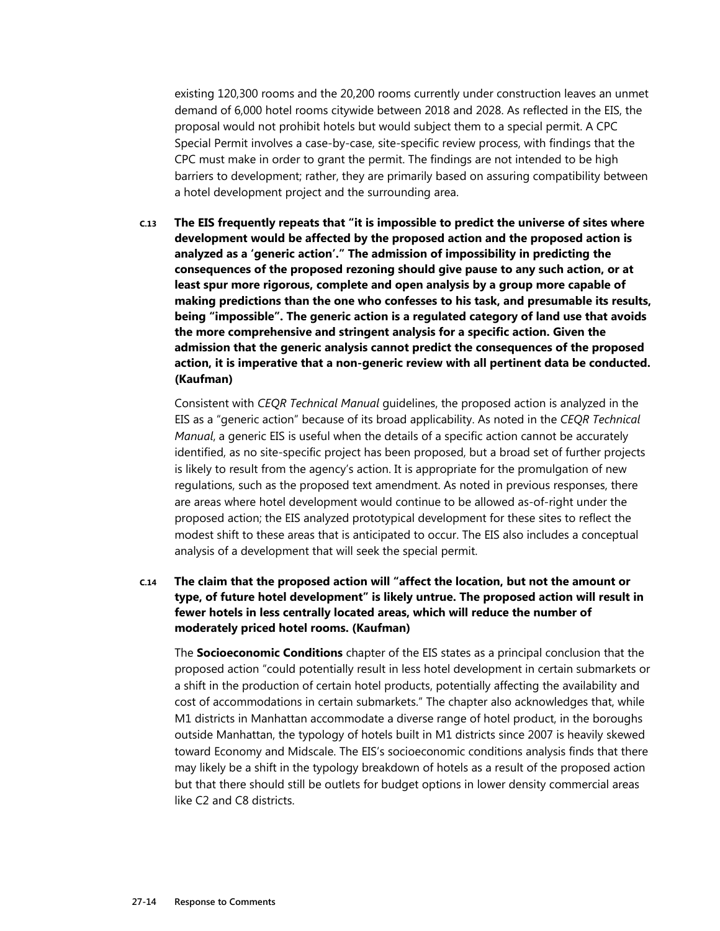existing 120,300 rooms and the 20,200 rooms currently under construction leaves an unmet demand of 6,000 hotel rooms citywide between 2018 and 2028. As reflected in the EIS, the proposal would not prohibit hotels but would subject them to a special permit. A CPC Special Permit involves a case-by-case, site-specific review process, with findings that the CPC must make in order to grant the permit. The findings are not intended to be high barriers to development; rather, they are primarily based on assuring compatibility between a hotel development project and the surrounding area.

**C.13 The EIS frequently repeats that "it is impossible to predict the universe of sites where development would be affected by the proposed action and the proposed action is analyzed as a 'generic action'." The admission of impossibility in predicting the consequences of the proposed rezoning should give pause to any such action, or at least spur more rigorous, complete and open analysis by a group more capable of making predictions than the one who confesses to his task, and presumable its results, being "impossible". The generic action is a regulated category of land use that avoids the more comprehensive and stringent analysis for a specific action. Given the admission that the generic analysis cannot predict the consequences of the proposed action, it is imperative that a non-generic review with all pertinent data be conducted. (Kaufman)** 

Consistent with *CEQR Technical Manual* guidelines, the proposed action is analyzed in the EIS as a "generic action" because of its broad applicability. As noted in the *CEQR Technical Manual*, a generic EIS is useful when the details of a specific action cannot be accurately identified, as no site-specific project has been proposed, but a broad set of further projects is likely to result from the agency's action. It is appropriate for the promulgation of new regulations, such as the proposed text amendment. As noted in previous responses, there are areas where hotel development would continue to be allowed as-of-right under the proposed action; the EIS analyzed prototypical development for these sites to reflect the modest shift to these areas that is anticipated to occur. The EIS also includes a conceptual analysis of a development that will seek the special permit.

**C.14 The claim that the proposed action will "affect the location, but not the amount or type, of future hotel development" is likely untrue. The proposed action will result in fewer hotels in less centrally located areas, which will reduce the number of moderately priced hotel rooms. (Kaufman)** 

The **Socioeconomic Conditions** chapter of the EIS states as a principal conclusion that the proposed action "could potentially result in less hotel development in certain submarkets or a shift in the production of certain hotel products, potentially affecting the availability and cost of accommodations in certain submarkets." The chapter also acknowledges that, while M1 districts in Manhattan accommodate a diverse range of hotel product, in the boroughs outside Manhattan, the typology of hotels built in M1 districts since 2007 is heavily skewed toward Economy and Midscale. The EIS's socioeconomic conditions analysis finds that there may likely be a shift in the typology breakdown of hotels as a result of the proposed action but that there should still be outlets for budget options in lower density commercial areas like C2 and C8 districts.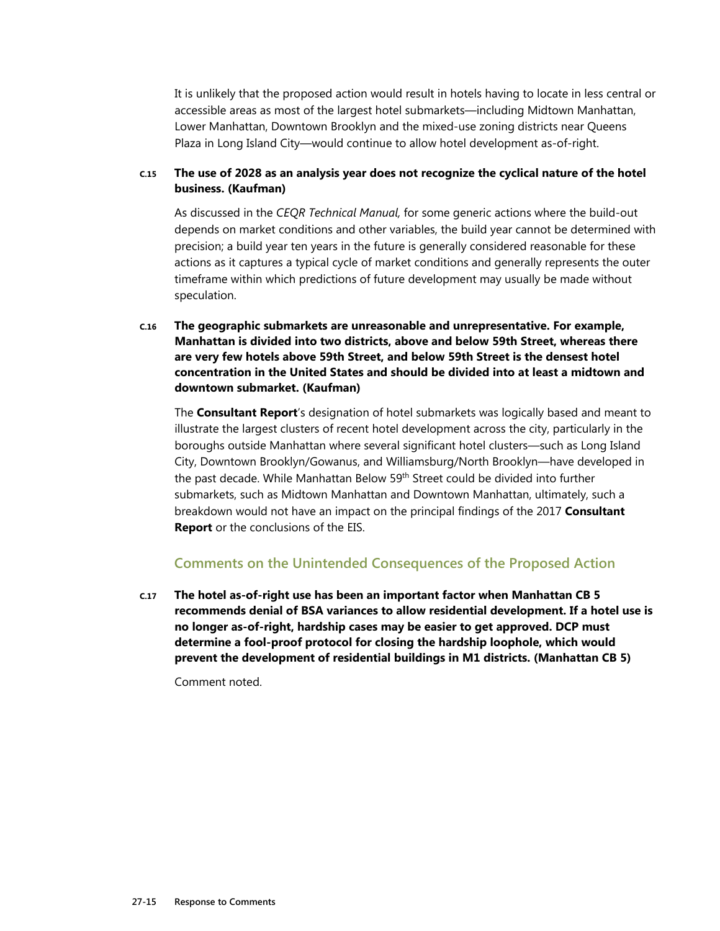It is unlikely that the proposed action would result in hotels having to locate in less central or accessible areas as most of the largest hotel submarkets—including Midtown Manhattan, Lower Manhattan, Downtown Brooklyn and the mixed-use zoning districts near Queens Plaza in Long Island City—would continue to allow hotel development as-of-right.

#### **C.15 The use of 2028 as an analysis year does not recognize the cyclical nature of the hotel business. (Kaufman)**

As discussed in the *CEQR Technical Manual,* for some generic actions where the build-out depends on market conditions and other variables, the build year cannot be determined with precision; a build year ten years in the future is generally considered reasonable for these actions as it captures a typical cycle of market conditions and generally represents the outer timeframe within which predictions of future development may usually be made without speculation.

**C.16 The geographic submarkets are unreasonable and unrepresentative. For example, Manhattan is divided into two districts, above and below 59th Street, whereas there are very few hotels above 59th Street, and below 59th Street is the densest hotel concentration in the United States and should be divided into at least a midtown and downtown submarket. (Kaufman)** 

The **Consultant Report**'s designation of hotel submarkets was logically based and meant to illustrate the largest clusters of recent hotel development across the city, particularly in the boroughs outside Manhattan where several significant hotel clusters—such as Long Island City, Downtown Brooklyn/Gowanus, and Williamsburg/North Brooklyn—have developed in the past decade. While Manhattan Below 59<sup>th</sup> Street could be divided into further submarkets, such as Midtown Manhattan and Downtown Manhattan, ultimately, such a breakdown would not have an impact on the principal findings of the 2017 **Consultant Report** or the conclusions of the EIS.

#### **Comments on the Unintended Consequences of the Proposed Action**

**C.17 The hotel as-of-right use has been an important factor when Manhattan CB 5 recommends denial of BSA variances to allow residential development. If a hotel use is no longer as-of-right, hardship cases may be easier to get approved. DCP must determine a fool-proof protocol for closing the hardship loophole, which would prevent the development of residential buildings in M1 districts. (Manhattan CB 5)** 

Comment noted.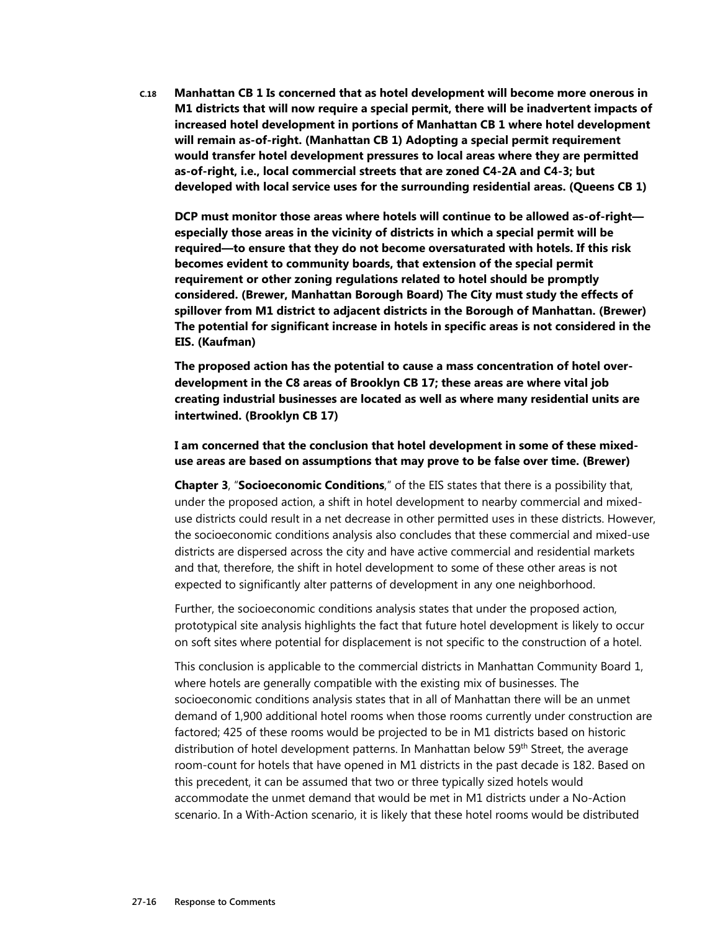**C.18 Manhattan CB 1 Is concerned that as hotel development will become more onerous in M1 districts that will now require a special permit, there will be inadvertent impacts of increased hotel development in portions of Manhattan CB 1 where hotel development will remain as-of-right. (Manhattan CB 1) Adopting a special permit requirement would transfer hotel development pressures to local areas where they are permitted as-of-right, i.e., local commercial streets that are zoned C4-2A and C4-3; but developed with local service uses for the surrounding residential areas. (Queens CB 1)** 

**DCP must monitor those areas where hotels will continue to be allowed as-of-right especially those areas in the vicinity of districts in which a special permit will be required—to ensure that they do not become oversaturated with hotels. If this risk becomes evident to community boards, that extension of the special permit requirement or other zoning regulations related to hotel should be promptly considered. (Brewer, Manhattan Borough Board) The City must study the effects of spillover from M1 district to adjacent districts in the Borough of Manhattan. (Brewer) The potential for significant increase in hotels in specific areas is not considered in the EIS. (Kaufman)** 

**The proposed action has the potential to cause a mass concentration of hotel overdevelopment in the C8 areas of Brooklyn CB 17; these areas are where vital job creating industrial businesses are located as well as where many residential units are intertwined. (Brooklyn CB 17)** 

#### **I am concerned that the conclusion that hotel development in some of these mixeduse areas are based on assumptions that may prove to be false over time. (Brewer)**

**Chapter 3**, "**Socioeconomic Conditions**," of the EIS states that there is a possibility that, under the proposed action, a shift in hotel development to nearby commercial and mixeduse districts could result in a net decrease in other permitted uses in these districts. However, the socioeconomic conditions analysis also concludes that these commercial and mixed-use districts are dispersed across the city and have active commercial and residential markets and that, therefore, the shift in hotel development to some of these other areas is not expected to significantly alter patterns of development in any one neighborhood.

Further, the socioeconomic conditions analysis states that under the proposed action, prototypical site analysis highlights the fact that future hotel development is likely to occur on soft sites where potential for displacement is not specific to the construction of a hotel.

This conclusion is applicable to the commercial districts in Manhattan Community Board 1, where hotels are generally compatible with the existing mix of businesses. The socioeconomic conditions analysis states that in all of Manhattan there will be an unmet demand of 1,900 additional hotel rooms when those rooms currently under construction are factored; 425 of these rooms would be projected to be in M1 districts based on historic distribution of hotel development patterns. In Manhattan below 59<sup>th</sup> Street, the average room-count for hotels that have opened in M1 districts in the past decade is 182. Based on this precedent, it can be assumed that two or three typically sized hotels would accommodate the unmet demand that would be met in M1 districts under a No-Action scenario. In a With-Action scenario, it is likely that these hotel rooms would be distributed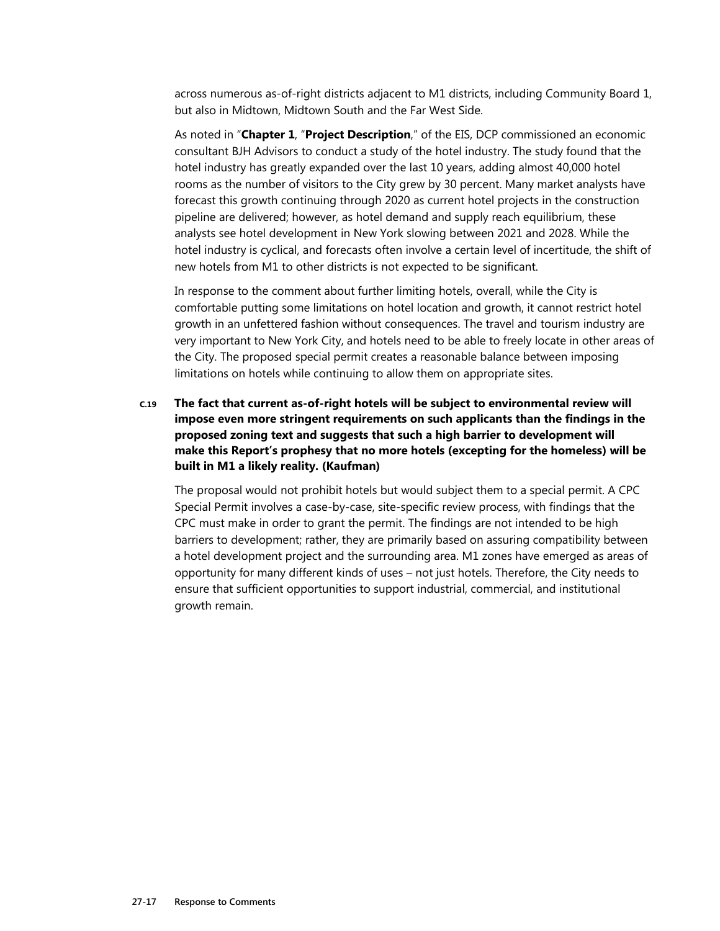across numerous as-of-right districts adjacent to M1 districts, including Community Board 1, but also in Midtown, Midtown South and the Far West Side.

As noted in "**Chapter 1**, "**Project Description**," of the EIS, DCP commissioned an economic consultant BJH Advisors to conduct a study of the hotel industry. The study found that the hotel industry has greatly expanded over the last 10 years, adding almost 40,000 hotel rooms as the number of visitors to the City grew by 30 percent. Many market analysts have forecast this growth continuing through 2020 as current hotel projects in the construction pipeline are delivered; however, as hotel demand and supply reach equilibrium, these analysts see hotel development in New York slowing between 2021 and 2028. While the hotel industry is cyclical, and forecasts often involve a certain level of incertitude, the shift of new hotels from M1 to other districts is not expected to be significant.

In response to the comment about further limiting hotels, overall, while the City is comfortable putting some limitations on hotel location and growth, it cannot restrict hotel growth in an unfettered fashion without consequences. The travel and tourism industry are very important to New York City, and hotels need to be able to freely locate in other areas of the City. The proposed special permit creates a reasonable balance between imposing limitations on hotels while continuing to allow them on appropriate sites.

**C.19 The fact that current as-of-right hotels will be subject to environmental review will impose even more stringent requirements on such applicants than the findings in the proposed zoning text and suggests that such a high barrier to development will make this Report's prophesy that no more hotels (excepting for the homeless) will be built in M1 a likely reality. (Kaufman)** 

The proposal would not prohibit hotels but would subject them to a special permit. A CPC Special Permit involves a case-by-case, site-specific review process, with findings that the CPC must make in order to grant the permit. The findings are not intended to be high barriers to development; rather, they are primarily based on assuring compatibility between a hotel development project and the surrounding area. M1 zones have emerged as areas of opportunity for many different kinds of uses – not just hotels. Therefore, the City needs to ensure that sufficient opportunities to support industrial, commercial, and institutional growth remain.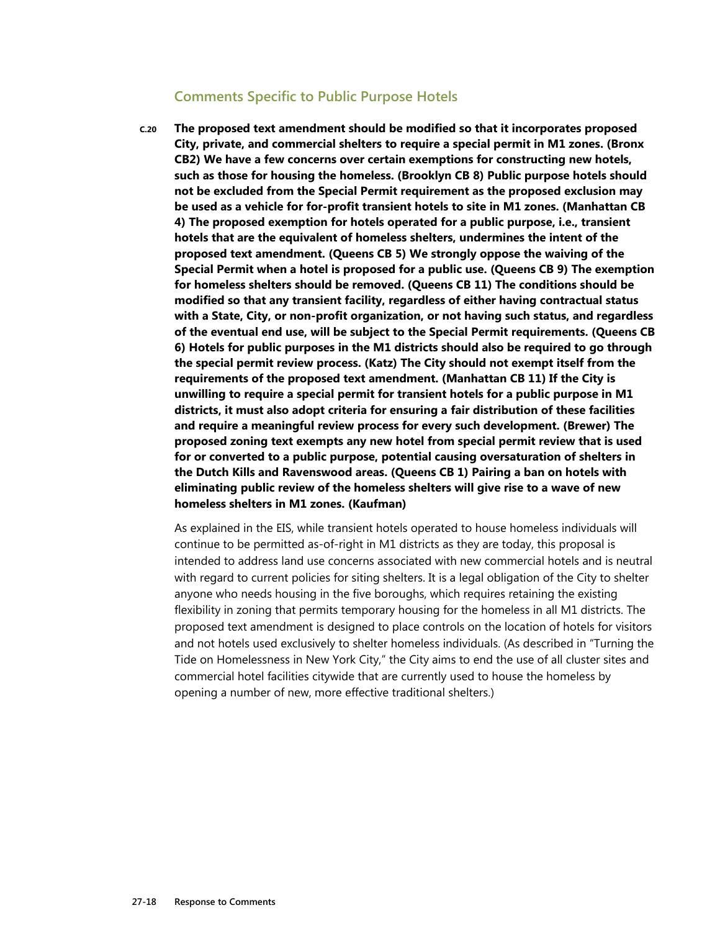#### **Comments Specific to Public Purpose Hotels**

**C.20 The proposed text amendment should be modified so that it incorporates proposed City, private, and commercial shelters to require a special permit in M1 zones. (Bronx CB2) We have a few concerns over certain exemptions for constructing new hotels, such as those for housing the homeless. (Brooklyn CB 8) Public purpose hotels should not be excluded from the Special Permit requirement as the proposed exclusion may be used as a vehicle for for-profit transient hotels to site in M1 zones. (Manhattan CB 4) The proposed exemption for hotels operated for a public purpose, i.e., transient hotels that are the equivalent of homeless shelters, undermines the intent of the proposed text amendment. (Queens CB 5) We strongly oppose the waiving of the Special Permit when a hotel is proposed for a public use. (Queens CB 9) The exemption for homeless shelters should be removed. (Queens CB 11) The conditions should be modified so that any transient facility, regardless of either having contractual status with a State, City, or non-profit organization, or not having such status, and regardless of the eventual end use, will be subject to the Special Permit requirements. (Queens CB 6) Hotels for public purposes in the M1 districts should also be required to go through the special permit review process. (Katz) The City should not exempt itself from the requirements of the proposed text amendment. (Manhattan CB 11) If the City is unwilling to require a special permit for transient hotels for a public purpose in M1 districts, it must also adopt criteria for ensuring a fair distribution of these facilities and require a meaningful review process for every such development. (Brewer) The proposed zoning text exempts any new hotel from special permit review that is used for or converted to a public purpose, potential causing oversaturation of shelters in the Dutch Kills and Ravenswood areas. (Queens CB 1) Pairing a ban on hotels with eliminating public review of the homeless shelters will give rise to a wave of new homeless shelters in M1 zones. (Kaufman)** 

As explained in the EIS, while transient hotels operated to house homeless individuals will continue to be permitted as-of-right in M1 districts as they are today, this proposal is intended to address land use concerns associated with new commercial hotels and is neutral with regard to current policies for siting shelters. It is a legal obligation of the City to shelter anyone who needs housing in the five boroughs, which requires retaining the existing flexibility in zoning that permits temporary housing for the homeless in all M1 districts. The proposed text amendment is designed to place controls on the location of hotels for visitors and not hotels used exclusively to shelter homeless individuals. (As described in "Turning the Tide on Homelessness in New York City," the City aims to end the use of all cluster sites and commercial hotel facilities citywide that are currently used to house the homeless by opening a number of new, more effective traditional shelters.)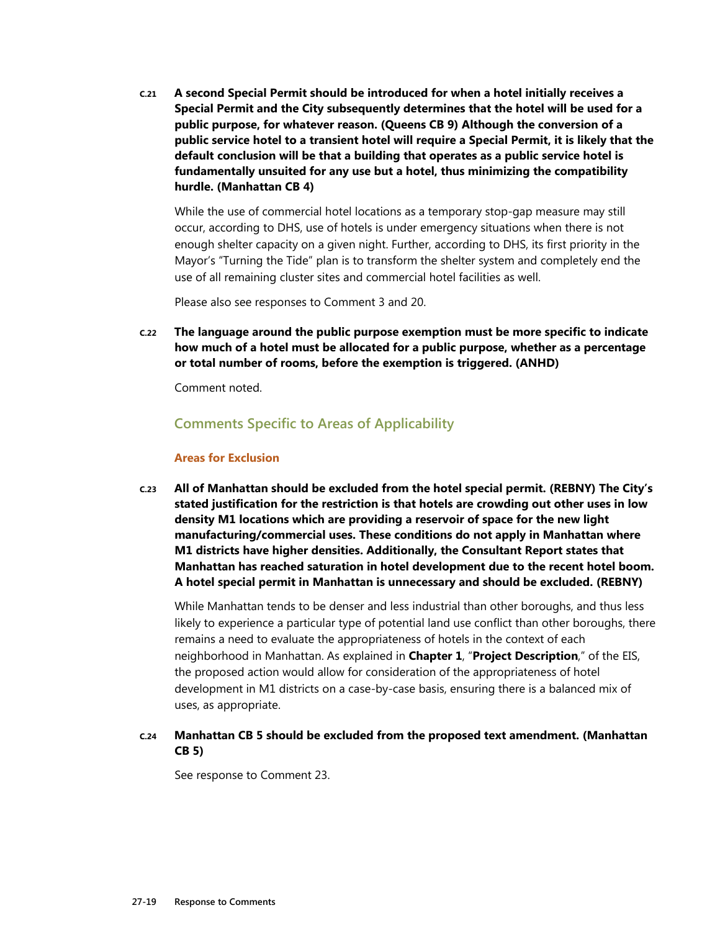**C.21 A second Special Permit should be introduced for when a hotel initially receives a Special Permit and the City subsequently determines that the hotel will be used for a public purpose, for whatever reason. (Queens CB 9) Although the conversion of a public service hotel to a transient hotel will require a Special Permit, it is likely that the default conclusion will be that a building that operates as a public service hotel is fundamentally unsuited for any use but a hotel, thus minimizing the compatibility hurdle. (Manhattan CB 4)** 

While the use of commercial hotel locations as a temporary stop-gap measure may still occur, according to DHS, use of hotels is under emergency situations when there is not enough shelter capacity on a given night. Further, according to DHS, its first priority in the Mayor's "Turning the Tide" plan is to transform the shelter system and completely end the use of all remaining cluster sites and commercial hotel facilities as well.

Please also see responses to Comment 3 and 20.

**C.22 The language around the public purpose exemption must be more specific to indicate how much of a hotel must be allocated for a public purpose, whether as a percentage or total number of rooms, before the exemption is triggered. (ANHD)** 

Comment noted.

#### **Comments Specific to Areas of Applicability**

#### **Areas for Exclusion**

**C.23 All of Manhattan should be excluded from the hotel special permit. (REBNY) The City's stated justification for the restriction is that hotels are crowding out other uses in low density M1 locations which are providing a reservoir of space for the new light manufacturing/commercial uses. These conditions do not apply in Manhattan where M1 districts have higher densities. Additionally, the Consultant Report states that Manhattan has reached saturation in hotel development due to the recent hotel boom. A hotel special permit in Manhattan is unnecessary and should be excluded. (REBNY)** 

While Manhattan tends to be denser and less industrial than other boroughs, and thus less likely to experience a particular type of potential land use conflict than other boroughs, there remains a need to evaluate the appropriateness of hotels in the context of each neighborhood in Manhattan. As explained in **Chapter 1**, "**Project Description**," of the EIS, the proposed action would allow for consideration of the appropriateness of hotel development in M1 districts on a case-by-case basis, ensuring there is a balanced mix of uses, as appropriate.

#### **C.24 Manhattan CB 5 should be excluded from the proposed text amendment. (Manhattan CB 5)**

See response to Comment 23.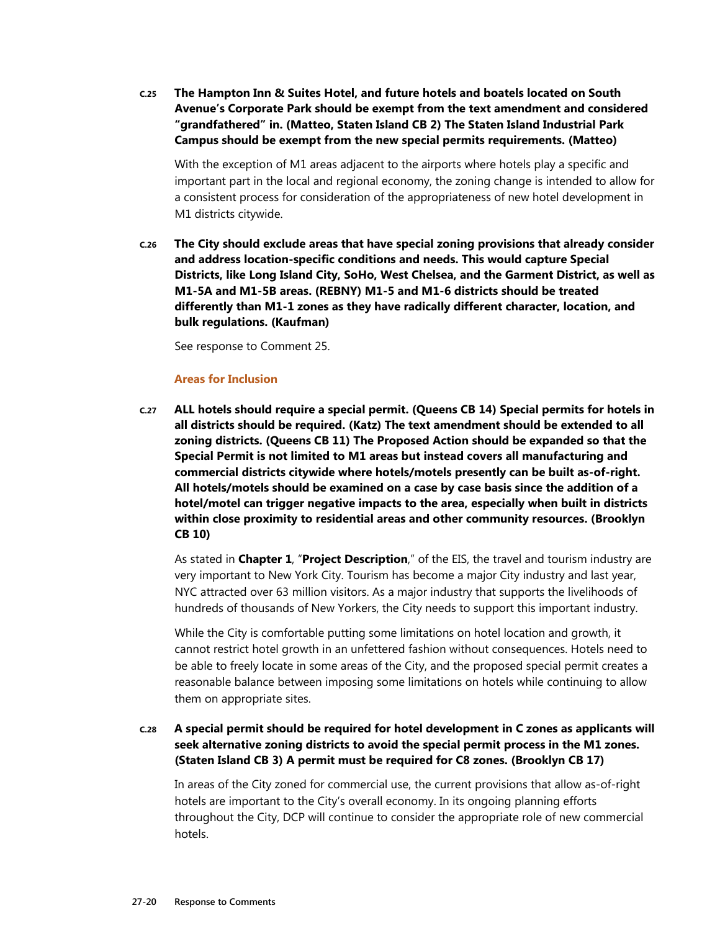**C.25 The Hampton Inn & Suites Hotel, and future hotels and boatels located on South Avenue's Corporate Park should be exempt from the text amendment and considered "grandfathered" in. (Matteo, Staten Island CB 2) The Staten Island Industrial Park Campus should be exempt from the new special permits requirements. (Matteo)** 

With the exception of M1 areas adjacent to the airports where hotels play a specific and important part in the local and regional economy, the zoning change is intended to allow for a consistent process for consideration of the appropriateness of new hotel development in M1 districts citywide.

**C.26 The City should exclude areas that have special zoning provisions that already consider and address location-specific conditions and needs. This would capture Special Districts, like Long Island City, SoHo, West Chelsea, and the Garment District, as well as M1-5A and M1-5B areas. (REBNY) M1-5 and M1-6 districts should be treated differently than M1-1 zones as they have radically different character, location, and bulk regulations. (Kaufman)** 

See response to Comment 25.

#### **Areas for Inclusion**

**C.27 ALL hotels should require a special permit. (Queens CB 14) Special permits for hotels in all districts should be required. (Katz) The text amendment should be extended to all zoning districts. (Queens CB 11) The Proposed Action should be expanded so that the Special Permit is not limited to M1 areas but instead covers all manufacturing and commercial districts citywide where hotels/motels presently can be built as-of-right. All hotels/motels should be examined on a case by case basis since the addition of a hotel/motel can trigger negative impacts to the area, especially when built in districts within close proximity to residential areas and other community resources. (Brooklyn CB 10)** 

As stated in **Chapter 1**, "**Project Description**," of the EIS, the travel and tourism industry are very important to New York City. Tourism has become a major City industry and last year, NYC attracted over 63 million visitors. As a major industry that supports the livelihoods of hundreds of thousands of New Yorkers, the City needs to support this important industry.

While the City is comfortable putting some limitations on hotel location and growth, it cannot restrict hotel growth in an unfettered fashion without consequences. Hotels need to be able to freely locate in some areas of the City, and the proposed special permit creates a reasonable balance between imposing some limitations on hotels while continuing to allow them on appropriate sites.

#### **C.28 A special permit should be required for hotel development in C zones as applicants will seek alternative zoning districts to avoid the special permit process in the M1 zones. (Staten Island CB 3) A permit must be required for C8 zones. (Brooklyn CB 17)**

In areas of the City zoned for commercial use, the current provisions that allow as-of-right hotels are important to the City's overall economy. In its ongoing planning efforts throughout the City, DCP will continue to consider the appropriate role of new commercial hotels.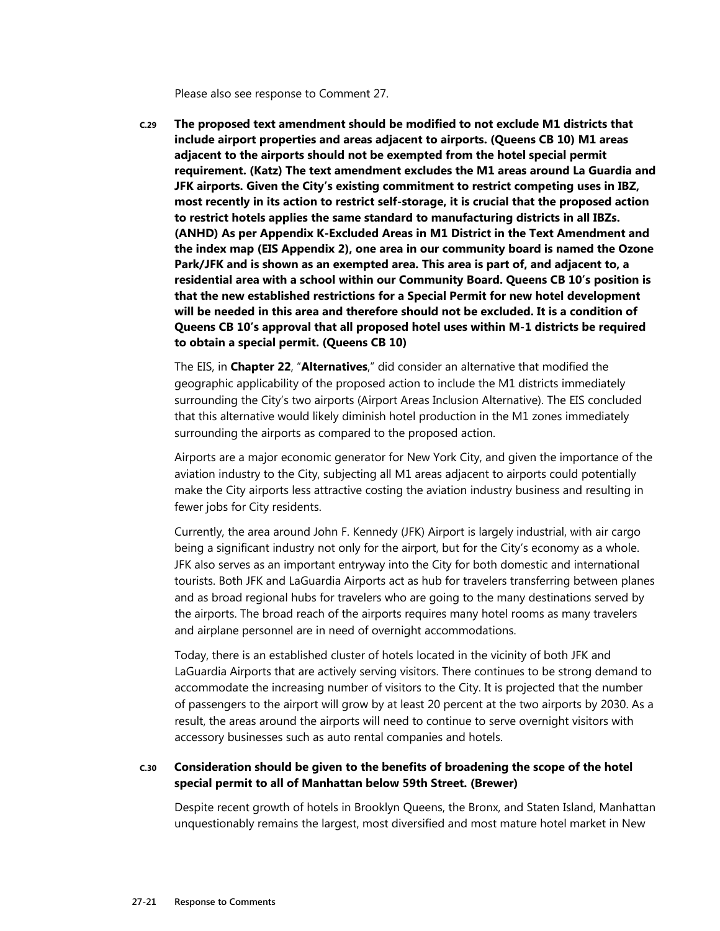Please also see response to Comment 27.

**C.29 The proposed text amendment should be modified to not exclude M1 districts that include airport properties and areas adjacent to airports. (Queens CB 10) M1 areas adjacent to the airports should not be exempted from the hotel special permit requirement. (Katz) The text amendment excludes the M1 areas around La Guardia and JFK airports. Given the City's existing commitment to restrict competing uses in IBZ, most recently in its action to restrict self-storage, it is crucial that the proposed action to restrict hotels applies the same standard to manufacturing districts in all IBZs. (ANHD) As per Appendix K-Excluded Areas in M1 District in the Text Amendment and the index map (EIS Appendix 2), one area in our community board is named the Ozone Park/JFK and is shown as an exempted area. This area is part of, and adjacent to, a residential area with a school within our Community Board. Queens CB 10's position is that the new established restrictions for a Special Permit for new hotel development will be needed in this area and therefore should not be excluded. It is a condition of Queens CB 10's approval that all proposed hotel uses within M-1 districts be required to obtain a special permit. (Queens CB 10)** 

The EIS, in **Chapter 22**, "**Alternatives**," did consider an alternative that modified the geographic applicability of the proposed action to include the M1 districts immediately surrounding the City's two airports (Airport Areas Inclusion Alternative). The EIS concluded that this alternative would likely diminish hotel production in the M1 zones immediately surrounding the airports as compared to the proposed action.

Airports are a major economic generator for New York City, and given the importance of the aviation industry to the City, subjecting all M1 areas adjacent to airports could potentially make the City airports less attractive costing the aviation industry business and resulting in fewer jobs for City residents.

Currently, the area around John F. Kennedy (JFK) Airport is largely industrial, with air cargo being a significant industry not only for the airport, but for the City's economy as a whole. JFK also serves as an important entryway into the City for both domestic and international tourists. Both JFK and LaGuardia Airports act as hub for travelers transferring between planes and as broad regional hubs for travelers who are going to the many destinations served by the airports. The broad reach of the airports requires many hotel rooms as many travelers and airplane personnel are in need of overnight accommodations.

Today, there is an established cluster of hotels located in the vicinity of both JFK and LaGuardia Airports that are actively serving visitors. There continues to be strong demand to accommodate the increasing number of visitors to the City. It is projected that the number of passengers to the airport will grow by at least 20 percent at the two airports by 2030. As a result, the areas around the airports will need to continue to serve overnight visitors with accessory businesses such as auto rental companies and hotels.

#### **C.30 Consideration should be given to the benefits of broadening the scope of the hotel special permit to all of Manhattan below 59th Street. (Brewer)**

Despite recent growth of hotels in Brooklyn Queens, the Bronx, and Staten Island, Manhattan unquestionably remains the largest, most diversified and most mature hotel market in New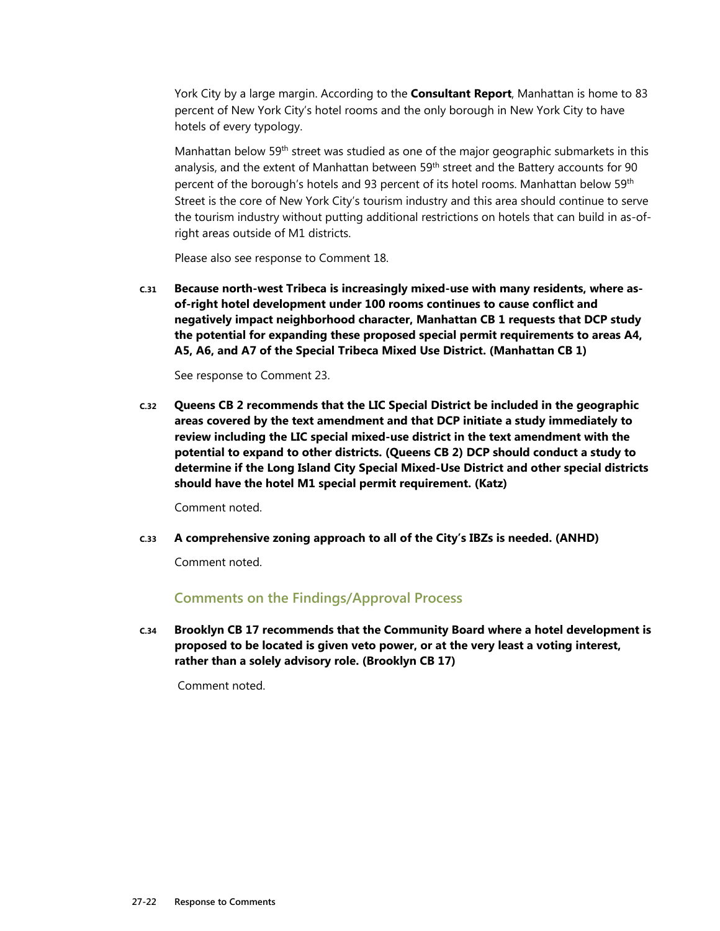York City by a large margin. According to the **Consultant Report**, Manhattan is home to 83 percent of New York City's hotel rooms and the only borough in New York City to have hotels of every typology.

Manhattan below 59<sup>th</sup> street was studied as one of the major geographic submarkets in this analysis, and the extent of Manhattan between 59<sup>th</sup> street and the Battery accounts for 90 percent of the borough's hotels and 93 percent of its hotel rooms. Manhattan below 59<sup>th</sup> Street is the core of New York City's tourism industry and this area should continue to serve the tourism industry without putting additional restrictions on hotels that can build in as-ofright areas outside of M1 districts.

Please also see response to Comment 18.

**C.31 Because north-west Tribeca is increasingly mixed-use with many residents, where asof-right hotel development under 100 rooms continues to cause conflict and negatively impact neighborhood character, Manhattan CB 1 requests that DCP study the potential for expanding these proposed special permit requirements to areas A4, A5, A6, and A7 of the Special Tribeca Mixed Use District. (Manhattan CB 1)** 

See response to Comment 23.

**C.32 Queens CB 2 recommends that the LIC Special District be included in the geographic areas covered by the text amendment and that DCP initiate a study immediately to review including the LIC special mixed-use district in the text amendment with the potential to expand to other districts. (Queens CB 2) DCP should conduct a study to determine if the Long Island City Special Mixed-Use District and other special districts should have the hotel M1 special permit requirement. (Katz)** 

Comment noted.

**C.33 A comprehensive zoning approach to all of the City's IBZs is needed. (ANHD)** 

Comment noted.

#### **Comments on the Findings/Approval Process**

**C.34 Brooklyn CB 17 recommends that the Community Board where a hotel development is proposed to be located is given veto power, or at the very least a voting interest, rather than a solely advisory role. (Brooklyn CB 17)** 

Comment noted.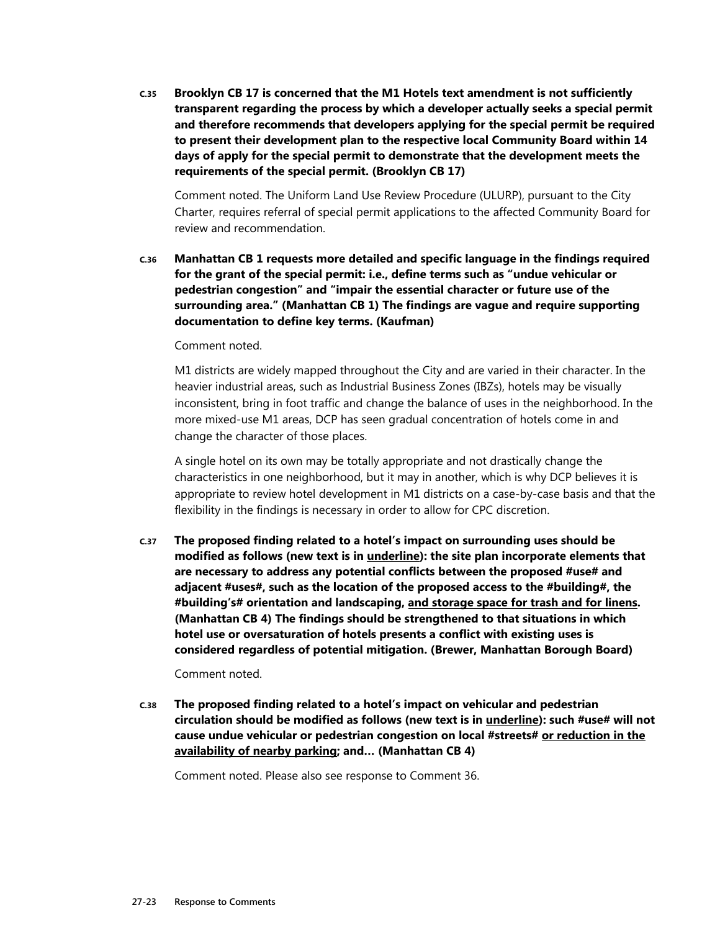**C.35 Brooklyn CB 17 is concerned that the M1 Hotels text amendment is not sufficiently transparent regarding the process by which a developer actually seeks a special permit and therefore recommends that developers applying for the special permit be required to present their development plan to the respective local Community Board within 14 days of apply for the special permit to demonstrate that the development meets the requirements of the special permit. (Brooklyn CB 17)** 

Comment noted. The Uniform Land Use Review Procedure (ULURP), pursuant to the City Charter, requires referral of special permit applications to the affected Community Board for review and recommendation.

**C.36 Manhattan CB 1 requests more detailed and specific language in the findings required for the grant of the special permit: i.e., define terms such as "undue vehicular or pedestrian congestion" and "impair the essential character or future use of the surrounding area." (Manhattan CB 1) The findings are vague and require supporting documentation to define key terms. (Kaufman)** 

#### Comment noted.

M1 districts are widely mapped throughout the City and are varied in their character. In the heavier industrial areas, such as Industrial Business Zones (IBZs), hotels may be visually inconsistent, bring in foot traffic and change the balance of uses in the neighborhood. In the more mixed-use M1 areas, DCP has seen gradual concentration of hotels come in and change the character of those places.

A single hotel on its own may be totally appropriate and not drastically change the characteristics in one neighborhood, but it may in another, which is why DCP believes it is appropriate to review hotel development in M1 districts on a case-by-case basis and that the flexibility in the findings is necessary in order to allow for CPC discretion.

**C.37 The proposed finding related to a hotel's impact on surrounding uses should be modified as follows (new text is in underline): the site plan incorporate elements that are necessary to address any potential conflicts between the proposed #use# and adjacent #uses#, such as the location of the proposed access to the #building#, the #building's# orientation and landscaping, and storage space for trash and for linens. (Manhattan CB 4) The findings should be strengthened to that situations in which hotel use or oversaturation of hotels presents a conflict with existing uses is considered regardless of potential mitigation. (Brewer, Manhattan Borough Board)** 

#### Comment noted.

**C.38 The proposed finding related to a hotel's impact on vehicular and pedestrian circulation should be modified as follows (new text is in underline): such #use# will not cause undue vehicular or pedestrian congestion on local #streets# or reduction in the availability of nearby parking; and… (Manhattan CB 4)** 

Comment noted. Please also see response to Comment 36.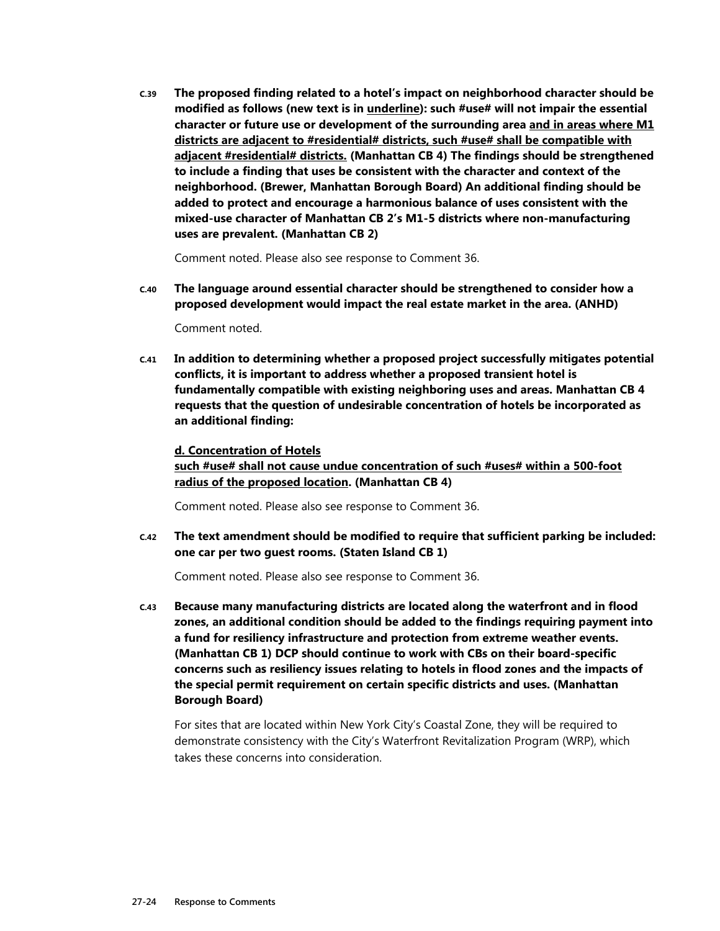**C.39 The proposed finding related to a hotel's impact on neighborhood character should be modified as follows (new text is in underline): such #use# will not impair the essential character or future use or development of the surrounding area and in areas where M1 districts are adjacent to #residential# districts, such #use# shall be compatible with adjacent #residential# districts. (Manhattan CB 4) The findings should be strengthened to include a finding that uses be consistent with the character and context of the neighborhood. (Brewer, Manhattan Borough Board) An additional finding should be added to protect and encourage a harmonious balance of uses consistent with the mixed-use character of Manhattan CB 2's M1-5 districts where non-manufacturing uses are prevalent. (Manhattan CB 2)** 

Comment noted. Please also see response to Comment 36.

**C.40 The language around essential character should be strengthened to consider how a proposed development would impact the real estate market in the area. (ANHD)** 

Comment noted.

**C.41 In addition to determining whether a proposed project successfully mitigates potential conflicts, it is important to address whether a proposed transient hotel is fundamentally compatible with existing neighboring uses and areas. Manhattan CB 4 requests that the question of undesirable concentration of hotels be incorporated as an additional finding:** 

#### **d. Concentration of Hotels**

**such #use# shall not cause undue concentration of such #uses# within a 500-foot radius of the proposed location. (Manhattan CB 4)** 

Comment noted. Please also see response to Comment 36.

**C.42 The text amendment should be modified to require that sufficient parking be included: one car per two guest rooms. (Staten Island CB 1)** 

Comment noted. Please also see response to Comment 36.

**C.43 Because many manufacturing districts are located along the waterfront and in flood zones, an additional condition should be added to the findings requiring payment into a fund for resiliency infrastructure and protection from extreme weather events. (Manhattan CB 1) DCP should continue to work with CBs on their board-specific concerns such as resiliency issues relating to hotels in flood zones and the impacts of the special permit requirement on certain specific districts and uses. (Manhattan Borough Board)** 

For sites that are located within New York City's Coastal Zone, they will be required to demonstrate consistency with the City's Waterfront Revitalization Program (WRP), which takes these concerns into consideration.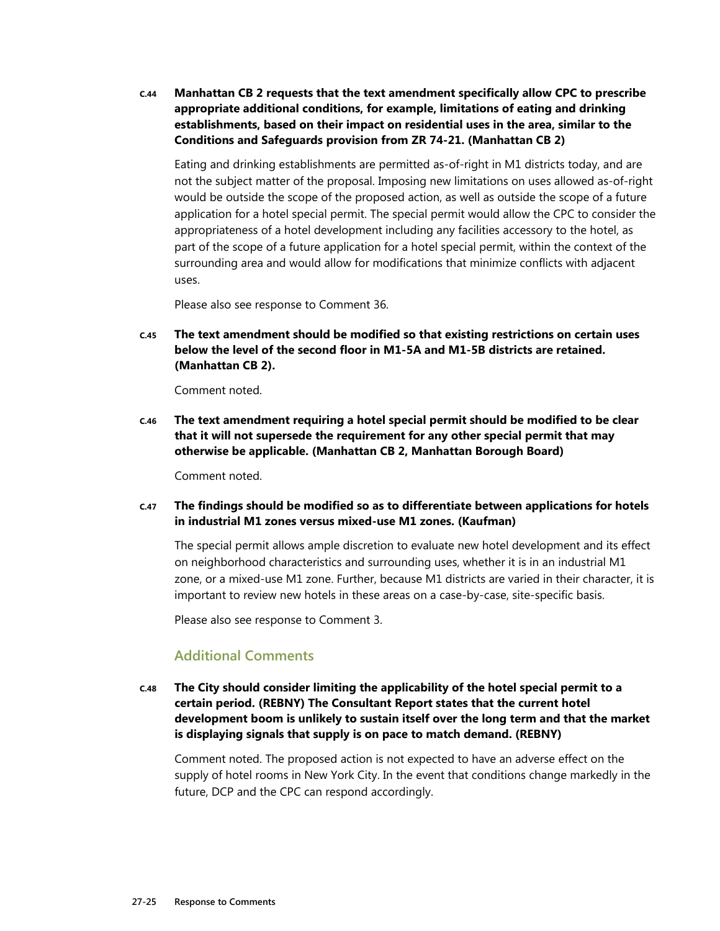**C.44 Manhattan CB 2 requests that the text amendment specifically allow CPC to prescribe appropriate additional conditions, for example, limitations of eating and drinking establishments, based on their impact on residential uses in the area, similar to the Conditions and Safeguards provision from ZR 74-21. (Manhattan CB 2)** 

Eating and drinking establishments are permitted as-of-right in M1 districts today, and are not the subject matter of the proposal. Imposing new limitations on uses allowed as-of-right would be outside the scope of the proposed action, as well as outside the scope of a future application for a hotel special permit. The special permit would allow the CPC to consider the appropriateness of a hotel development including any facilities accessory to the hotel, as part of the scope of a future application for a hotel special permit, within the context of the surrounding area and would allow for modifications that minimize conflicts with adjacent uses.

Please also see response to Comment 36.

**C.45 The text amendment should be modified so that existing restrictions on certain uses below the level of the second floor in M1-5A and M1-5B districts are retained. (Manhattan CB 2).** 

Comment noted.

**C.46 The text amendment requiring a hotel special permit should be modified to be clear that it will not supersede the requirement for any other special permit that may otherwise be applicable. (Manhattan CB 2, Manhattan Borough Board)** 

Comment noted.

**C.47 The findings should be modified so as to differentiate between applications for hotels in industrial M1 zones versus mixed-use M1 zones. (Kaufman)** 

The special permit allows ample discretion to evaluate new hotel development and its effect on neighborhood characteristics and surrounding uses, whether it is in an industrial M1 zone, or a mixed-use M1 zone. Further, because M1 districts are varied in their character, it is important to review new hotels in these areas on a case-by-case, site-specific basis.

Please also see response to Comment 3.

#### **Additional Comments**

**C.48 The City should consider limiting the applicability of the hotel special permit to a certain period. (REBNY) The Consultant Report states that the current hotel development boom is unlikely to sustain itself over the long term and that the market is displaying signals that supply is on pace to match demand. (REBNY)** 

Comment noted. The proposed action is not expected to have an adverse effect on the supply of hotel rooms in New York City. In the event that conditions change markedly in the future, DCP and the CPC can respond accordingly.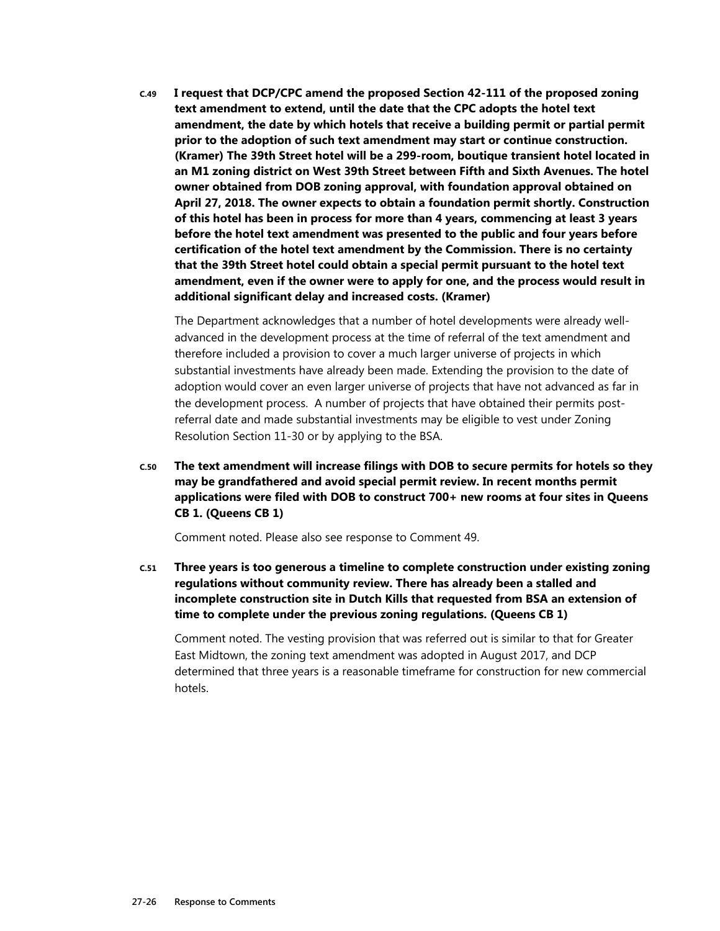**C.49 I request that DCP/CPC amend the proposed Section 42-111 of the proposed zoning text amendment to extend, until the date that the CPC adopts the hotel text amendment, the date by which hotels that receive a building permit or partial permit prior to the adoption of such text amendment may start or continue construction. (Kramer) The 39th Street hotel will be a 299-room, boutique transient hotel located in an M1 zoning district on West 39th Street between Fifth and Sixth Avenues. The hotel owner obtained from DOB zoning approval, with foundation approval obtained on April 27, 2018. The owner expects to obtain a foundation permit shortly. Construction of this hotel has been in process for more than 4 years, commencing at least 3 years before the hotel text amendment was presented to the public and four years before certification of the hotel text amendment by the Commission. There is no certainty that the 39th Street hotel could obtain a special permit pursuant to the hotel text amendment, even if the owner were to apply for one, and the process would result in additional significant delay and increased costs. (Kramer)** 

The Department acknowledges that a number of hotel developments were already welladvanced in the development process at the time of referral of the text amendment and therefore included a provision to cover a much larger universe of projects in which substantial investments have already been made. Extending the provision to the date of adoption would cover an even larger universe of projects that have not advanced as far in the development process. A number of projects that have obtained their permits postreferral date and made substantial investments may be eligible to vest under Zoning Resolution Section 11-30 or by applying to the BSA.

**C.50 The text amendment will increase filings with DOB to secure permits for hotels so they may be grandfathered and avoid special permit review. In recent months permit applications were filed with DOB to construct 700+ new rooms at four sites in Queens CB 1. (Queens CB 1)** 

Comment noted. Please also see response to Comment 49.

**C.51 Three years is too generous a timeline to complete construction under existing zoning regulations without community review. There has already been a stalled and incomplete construction site in Dutch Kills that requested from BSA an extension of time to complete under the previous zoning regulations. (Queens CB 1)** 

Comment noted. The vesting provision that was referred out is similar to that for Greater East Midtown, the zoning text amendment was adopted in August 2017, and DCP determined that three years is a reasonable timeframe for construction for new commercial hotels.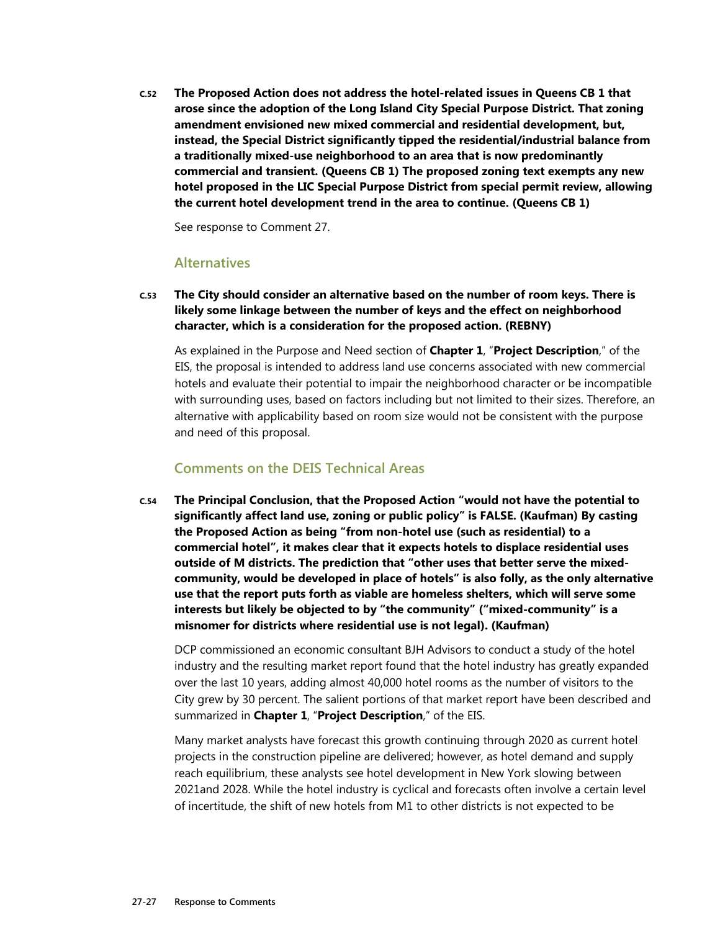**C.52 The Proposed Action does not address the hotel-related issues in Queens CB 1 that arose since the adoption of the Long Island City Special Purpose District. That zoning amendment envisioned new mixed commercial and residential development, but, instead, the Special District significantly tipped the residential/industrial balance from a traditionally mixed-use neighborhood to an area that is now predominantly commercial and transient. (Queens CB 1) The proposed zoning text exempts any new hotel proposed in the LIC Special Purpose District from special permit review, allowing the current hotel development trend in the area to continue. (Queens CB 1)** 

See response to Comment 27.

#### **Alternatives**

**C.53 The City should consider an alternative based on the number of room keys. There is likely some linkage between the number of keys and the effect on neighborhood character, which is a consideration for the proposed action. (REBNY)** 

As explained in the Purpose and Need section of **Chapter 1**, "**Project Description**," of the EIS, the proposal is intended to address land use concerns associated with new commercial hotels and evaluate their potential to impair the neighborhood character or be incompatible with surrounding uses, based on factors including but not limited to their sizes. Therefore, an alternative with applicability based on room size would not be consistent with the purpose and need of this proposal.

#### **Comments on the DEIS Technical Areas**

**C.54 The Principal Conclusion, that the Proposed Action "would not have the potential to significantly affect land use, zoning or public policy" is FALSE. (Kaufman) By casting the Proposed Action as being "from non-hotel use (such as residential) to a commercial hotel", it makes clear that it expects hotels to displace residential uses outside of M districts. The prediction that "other uses that better serve the mixedcommunity, would be developed in place of hotels" is also folly, as the only alternative use that the report puts forth as viable are homeless shelters, which will serve some interests but likely be objected to by "the community" ("mixed-community" is a misnomer for districts where residential use is not legal). (Kaufman)** 

DCP commissioned an economic consultant BJH Advisors to conduct a study of the hotel industry and the resulting market report found that the hotel industry has greatly expanded over the last 10 years, adding almost 40,000 hotel rooms as the number of visitors to the City grew by 30 percent. The salient portions of that market report have been described and summarized in **Chapter 1**, "**Project Description**," of the EIS.

Many market analysts have forecast this growth continuing through 2020 as current hotel projects in the construction pipeline are delivered; however, as hotel demand and supply reach equilibrium, these analysts see hotel development in New York slowing between 2021and 2028. While the hotel industry is cyclical and forecasts often involve a certain level of incertitude, the shift of new hotels from M1 to other districts is not expected to be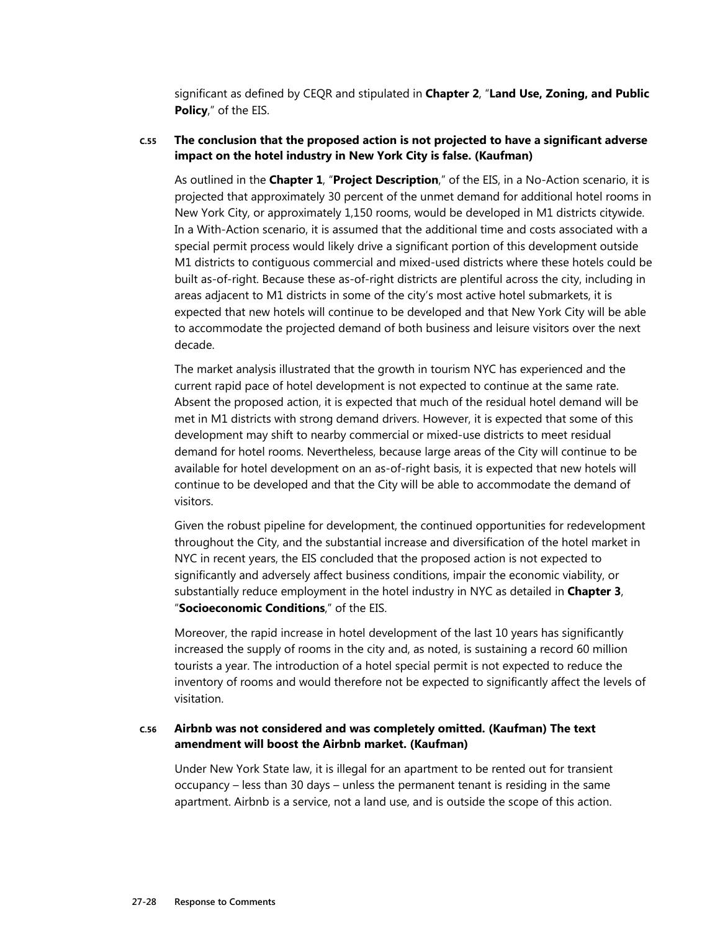significant as defined by CEQR and stipulated in **Chapter 2**, "**Land Use, Zoning, and Public Policy**," of the EIS.

#### **C.55 The conclusion that the proposed action is not projected to have a significant adverse impact on the hotel industry in New York City is false. (Kaufman)**

As outlined in the **Chapter 1**, "**Project Description**," of the EIS, in a No-Action scenario, it is projected that approximately 30 percent of the unmet demand for additional hotel rooms in New York City, or approximately 1,150 rooms, would be developed in M1 districts citywide. In a With-Action scenario, it is assumed that the additional time and costs associated with a special permit process would likely drive a significant portion of this development outside M1 districts to contiguous commercial and mixed-used districts where these hotels could be built as-of-right. Because these as-of-right districts are plentiful across the city, including in areas adjacent to M1 districts in some of the city's most active hotel submarkets, it is expected that new hotels will continue to be developed and that New York City will be able to accommodate the projected demand of both business and leisure visitors over the next decade.

The market analysis illustrated that the growth in tourism NYC has experienced and the current rapid pace of hotel development is not expected to continue at the same rate. Absent the proposed action, it is expected that much of the residual hotel demand will be met in M1 districts with strong demand drivers. However, it is expected that some of this development may shift to nearby commercial or mixed-use districts to meet residual demand for hotel rooms. Nevertheless, because large areas of the City will continue to be available for hotel development on an as-of-right basis, it is expected that new hotels will continue to be developed and that the City will be able to accommodate the demand of visitors.

Given the robust pipeline for development, the continued opportunities for redevelopment throughout the City, and the substantial increase and diversification of the hotel market in NYC in recent years, the EIS concluded that the proposed action is not expected to significantly and adversely affect business conditions, impair the economic viability, or substantially reduce employment in the hotel industry in NYC as detailed in **Chapter 3**, "**Socioeconomic Conditions**," of the EIS.

Moreover, the rapid increase in hotel development of the last 10 years has significantly increased the supply of rooms in the city and, as noted, is sustaining a record 60 million tourists a year. The introduction of a hotel special permit is not expected to reduce the inventory of rooms and would therefore not be expected to significantly affect the levels of visitation.

#### **C.56 Airbnb was not considered and was completely omitted. (Kaufman) The text amendment will boost the Airbnb market. (Kaufman)**

Under New York State law, it is illegal for an apartment to be rented out for transient occupancy – less than 30 days – unless the permanent tenant is residing in the same apartment. Airbnb is a service, not a land use, and is outside the scope of this action.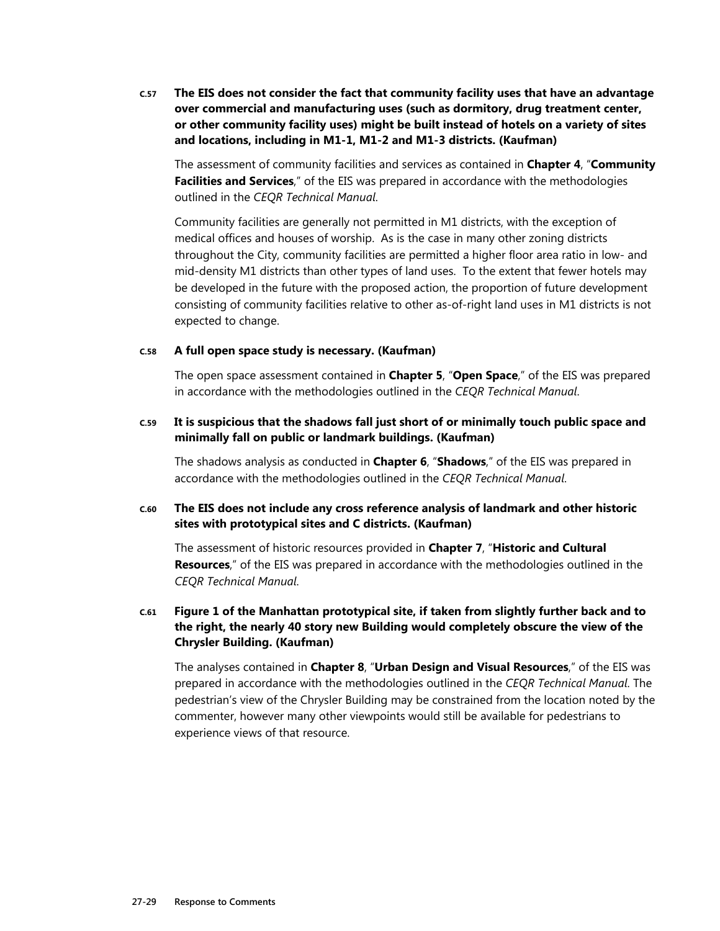**C.57 The EIS does not consider the fact that community facility uses that have an advantage over commercial and manufacturing uses (such as dormitory, drug treatment center, or other community facility uses) might be built instead of hotels on a variety of sites and locations, including in M1-1, M1-2 and M1-3 districts. (Kaufman)** 

The assessment of community facilities and services as contained in **Chapter 4**, "**Community Facilities and Services**," of the EIS was prepared in accordance with the methodologies outlined in the *CEQR Technical Manual*.

Community facilities are generally not permitted in M1 districts, with the exception of medical offices and houses of worship. As is the case in many other zoning districts throughout the City, community facilities are permitted a higher floor area ratio in low- and mid-density M1 districts than other types of land uses. To the extent that fewer hotels may be developed in the future with the proposed action, the proportion of future development consisting of community facilities relative to other as-of-right land uses in M1 districts is not expected to change.

#### **C.58 A full open space study is necessary. (Kaufman)**

The open space assessment contained in **Chapter 5**, "**Open Space**," of the EIS was prepared in accordance with the methodologies outlined in the *CEQR Technical Manual*.

#### **C.59 It is suspicious that the shadows fall just short of or minimally touch public space and minimally fall on public or landmark buildings. (Kaufman)**

The shadows analysis as conducted in **Chapter 6**, "**Shadows**," of the EIS was prepared in accordance with the methodologies outlined in the *CEQR Technical Manual*.

#### **C.60 The EIS does not include any cross reference analysis of landmark and other historic sites with prototypical sites and C districts. (Kaufman)**

The assessment of historic resources provided in **Chapter 7**, "**Historic and Cultural Resources**," of the EIS was prepared in accordance with the methodologies outlined in the *CEQR Technical Manual*.

#### **C.61 Figure 1 of the Manhattan prototypical site, if taken from slightly further back and to the right, the nearly 40 story new Building would completely obscure the view of the Chrysler Building. (Kaufman)**

The analyses contained in **Chapter 8**, "**Urban Design and Visual Resources**," of the EIS was prepared in accordance with the methodologies outlined in the *CEQR Technical Manual*. The pedestrian's view of the Chrysler Building may be constrained from the location noted by the commenter, however many other viewpoints would still be available for pedestrians to experience views of that resource.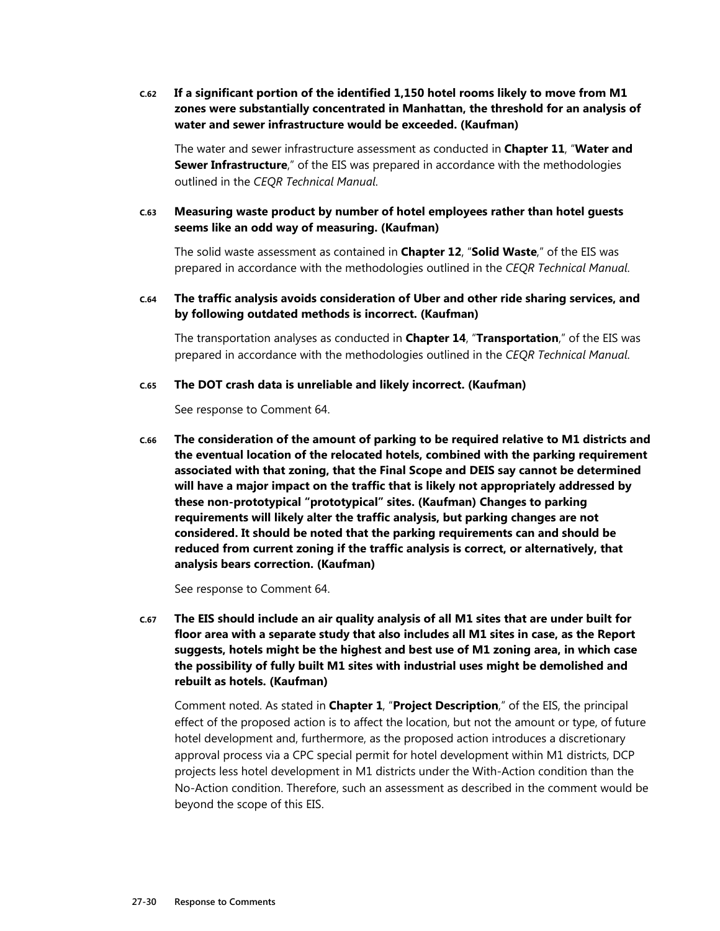**C.62 If a significant portion of the identified 1,150 hotel rooms likely to move from M1 zones were substantially concentrated in Manhattan, the threshold for an analysis of water and sewer infrastructure would be exceeded. (Kaufman)** 

The water and sewer infrastructure assessment as conducted in **Chapter 11**, "**Water and Sewer Infrastructure**," of the EIS was prepared in accordance with the methodologies outlined in the *CEQR Technical Manual*.

**C.63 Measuring waste product by number of hotel employees rather than hotel guests seems like an odd way of measuring. (Kaufman)** 

The solid waste assessment as contained in **Chapter 12**, "**Solid Waste**," of the EIS was prepared in accordance with the methodologies outlined in the *CEQR Technical Manual*.

**C.64 The traffic analysis avoids consideration of Uber and other ride sharing services, and by following outdated methods is incorrect. (Kaufman)** 

The transportation analyses as conducted in **Chapter 14**, "**Transportation**," of the EIS was prepared in accordance with the methodologies outlined in the *CEQR Technical Manual*.

#### **C.65 The DOT crash data is unreliable and likely incorrect. (Kaufman)**

See response to Comment 64.

**C.66 The consideration of the amount of parking to be required relative to M1 districts and the eventual location of the relocated hotels, combined with the parking requirement associated with that zoning, that the Final Scope and DEIS say cannot be determined will have a major impact on the traffic that is likely not appropriately addressed by these non-prototypical "prototypical" sites. (Kaufman) Changes to parking requirements will likely alter the traffic analysis, but parking changes are not considered. It should be noted that the parking requirements can and should be reduced from current zoning if the traffic analysis is correct, or alternatively, that analysis bears correction. (Kaufman)** 

See response to Comment 64.

**C.67 The EIS should include an air quality analysis of all M1 sites that are under built for floor area with a separate study that also includes all M1 sites in case, as the Report suggests, hotels might be the highest and best use of M1 zoning area, in which case the possibility of fully built M1 sites with industrial uses might be demolished and rebuilt as hotels. (Kaufman)** 

Comment noted. As stated in **Chapter 1**, "**Project Description**," of the EIS, the principal effect of the proposed action is to affect the location, but not the amount or type, of future hotel development and, furthermore, as the proposed action introduces a discretionary approval process via a CPC special permit for hotel development within M1 districts, DCP projects less hotel development in M1 districts under the With-Action condition than the No-Action condition. Therefore, such an assessment as described in the comment would be beyond the scope of this EIS.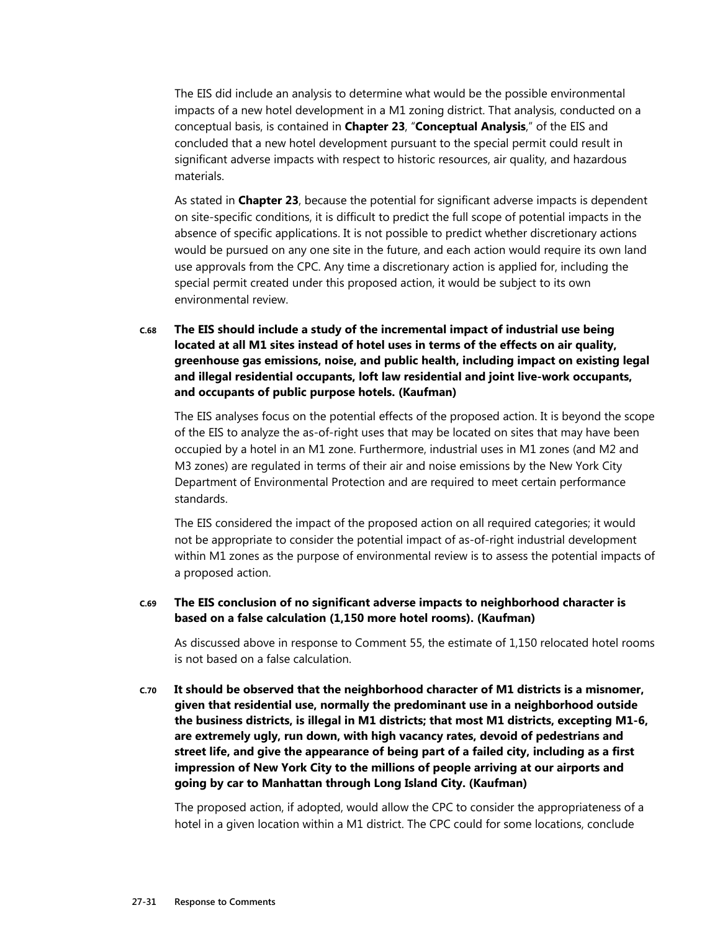The EIS did include an analysis to determine what would be the possible environmental impacts of a new hotel development in a M1 zoning district. That analysis, conducted on a conceptual basis, is contained in **Chapter 23**, "**Conceptual Analysis**," of the EIS and concluded that a new hotel development pursuant to the special permit could result in significant adverse impacts with respect to historic resources, air quality, and hazardous materials.

As stated in **Chapter 23**, because the potential for significant adverse impacts is dependent on site-specific conditions, it is difficult to predict the full scope of potential impacts in the absence of specific applications. It is not possible to predict whether discretionary actions would be pursued on any one site in the future, and each action would require its own land use approvals from the CPC. Any time a discretionary action is applied for, including the special permit created under this proposed action, it would be subject to its own environmental review.

**C.68 The EIS should include a study of the incremental impact of industrial use being located at all M1 sites instead of hotel uses in terms of the effects on air quality, greenhouse gas emissions, noise, and public health, including impact on existing legal and illegal residential occupants, loft law residential and joint live-work occupants, and occupants of public purpose hotels. (Kaufman)** 

The EIS analyses focus on the potential effects of the proposed action. It is beyond the scope of the EIS to analyze the as-of-right uses that may be located on sites that may have been occupied by a hotel in an M1 zone. Furthermore, industrial uses in M1 zones (and M2 and M3 zones) are regulated in terms of their air and noise emissions by the New York City Department of Environmental Protection and are required to meet certain performance standards.

The EIS considered the impact of the proposed action on all required categories; it would not be appropriate to consider the potential impact of as-of-right industrial development within M1 zones as the purpose of environmental review is to assess the potential impacts of a proposed action.

#### **C.69 The EIS conclusion of no significant adverse impacts to neighborhood character is based on a false calculation (1,150 more hotel rooms). (Kaufman)**

As discussed above in response to Comment 55, the estimate of 1,150 relocated hotel rooms is not based on a false calculation.

**C.70 It should be observed that the neighborhood character of M1 districts is a misnomer, given that residential use, normally the predominant use in a neighborhood outside the business districts, is illegal in M1 districts; that most M1 districts, excepting M1-6, are extremely ugly, run down, with high vacancy rates, devoid of pedestrians and street life, and give the appearance of being part of a failed city, including as a first impression of New York City to the millions of people arriving at our airports and going by car to Manhattan through Long Island City. (Kaufman)** 

The proposed action, if adopted, would allow the CPC to consider the appropriateness of a hotel in a given location within a M1 district. The CPC could for some locations, conclude